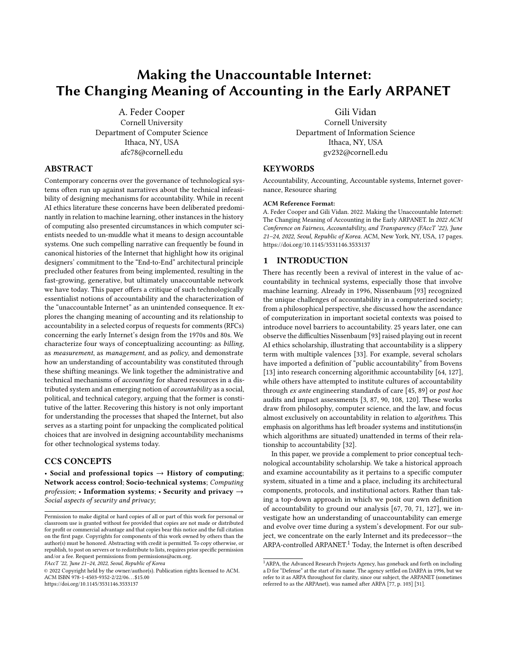# Making the Unaccountable Internet: The Changing Meaning of Accounting in the Early ARPANET

A. Feder Cooper Cornell University Department of Computer Science Ithaca, NY, USA afc78@cornell.edu

# ABSTRACT

Contemporary concerns over the governance of technological systems often run up against narratives about the technical infeasibility of designing mechanisms for accountability. While in recent AI ethics literature these concerns have been deliberated predominantly in relation to machine learning, other instances in the history of computing also presented circumstances in which computer scientists needed to un-muddle what it means to design accountable systems. One such compelling narrative can frequently be found in canonical histories of the Internet that highlight how its original designers' commitment to the "End-to-End" architectural principle precluded other features from being implemented, resulting in the fast-growing, generative, but ultimately unaccountable network we have today. This paper offers a critique of such technologically essentialist notions of accountability and the characterization of the "unaccountable Internet" as an unintended consequence. It explores the changing meaning of accounting and its relationship to accountability in a selected corpus of requests for comments (RFCs) concerning the early Internet's design from the 1970s and 80s. We characterize four ways of conceptualizing accounting: as billing, as measurement, as management, and as policy, and demonstrate how an understanding of accountability was constituted through these shifting meanings. We link together the administrative and technical mechanisms of accounting for shared resources in a distributed system and an emerging notion of accountability as a social, political, and technical category, arguing that the former is constitutive of the latter. Recovering this history is not only important for understanding the processes that shaped the Internet, but also serves as a starting point for unpacking the complicated political choices that are involved in designing accountability mechanisms for other technological systems today.

## CCS CONCEPTS

• Social and professional topics  $\rightarrow$  History of computing; Network access control; Socio-technical systems; Computing  $\textit{profession}:$  • Information systems; • Security and privacy  $\rightarrow$ Social aspects of security and privacy;

FAccT '22, June 21–24, 2022, Seoul, Republic of Korea

© 2022 Copyright held by the owner/author(s). Publication rights licensed to ACM. ACM ISBN 978-1-4503-9352-2/22/06. . . \$15.00 <https://doi.org/10.1145/3531146.3533137>

Gili Vidan Cornell University Department of Information Science Ithaca, NY, USA

gv232@cornell.edu

#### **KEYWORDS**

Accountability, Accounting, Accountable systems, Internet governance, Resource sharing

#### ACM Reference Format:

A. Feder Cooper and Gili Vidan. 2022. Making the Unaccountable Internet: The Changing Meaning of Accounting in the Early ARPANET. In 2022 ACM Conference on Fairness, Accountability, and Transparency (FAccT '22), June 21–24, 2022, Seoul, Republic of Korea. ACM, New York, NY, USA, [17](#page-16-0) pages. <https://doi.org/10.1145/3531146.3533137>

## <span id="page-0-1"></span>1 INTRODUCTION

There has recently been a revival of interest in the value of accountability in technical systems, especially those that involve machine learning. Already in 1996, Nissenbaum [\[93\]](#page-13-0) recognized the unique challenges of accountability in a computerized society; from a philosophical perspective, she discussed how the ascendance of computerization in important societal contexts was poised to introduce novel barriers to accountability. 25 years later, one can observe the difficulties Nissenbaum [\[93\]](#page-13-0) raised playing out in recent AI ethics scholarship, illustrating that accountability is a slippery term with multiple valences [\[33\]](#page-12-0). For example, several scholars have imported a definition of "public accountability" from Bovens [\[13\]](#page-12-1) into research concerning algorithmic accountability [\[64,](#page-13-1) [127\]](#page-14-0), while others have attempted to institute cultures of accountability through ex ante engineering standards of care [\[45,](#page-12-2) [89\]](#page-13-2) or post hoc audits and impact assessments [\[3,](#page-12-3) [87,](#page-13-3) [90,](#page-13-4) [108,](#page-13-5) [120\]](#page-14-1). These works draw from philosophy, computer science, and the law, and focus almost exclusively on accountability in relation to algorithms. This emphasis on algorithms has left broader systems and institutions(in which algorithms are situated) unattended in terms of their relationship to accountability [\[32\]](#page-12-4).

In this paper, we provide a complement to prior conceptual technological accountability scholarship. We take a historical approach and examine accountability as it pertains to a specific computer system, situated in a time and a place, including its architectural components, protocols, and institutional actors. Rather than taking a top-down approach in which we posit our own definition of accountability to ground our analysis [\[67,](#page-13-6) [70,](#page-13-7) [71,](#page-13-8) [127\]](#page-14-0), we investigate how an understanding of unaccountability can emerge and evolve over time during a system's development. For our subject, we concentrate on the early Internet and its predecessor—the ARPA-controlled ARPANET.<sup>[1](#page-0-0)</sup> Today, the Internet is often described

Permission to make digital or hard copies of all or part of this work for personal or classroom use is granted without fee provided that copies are not made or distributed for profit or commercial advantage and that copies bear this notice and the full citation on the first page. Copyrights for components of this work owned by others than the author(s) must be honored. Abstracting with credit is permitted. To copy otherwise, or republish, to post on servers or to redistribute to lists, requires prior specific permission and/or a fee. Request permissions from permissions@acm.org.

<span id="page-0-0"></span> $^{\rm 1}$  ARPA, the Advanced Research Projects Agency, has goneback and forth on including a D for "Defense" at the start of its name. The agency settled on DARPA in 1996, but we refer to it as ARPA throughout for clarity, since our subject, the ARPANET (sometimes referred to as the ARPAnet), was named after ARPA [\[77,](#page-13-9) p. 103] [\[31\]](#page-12-5).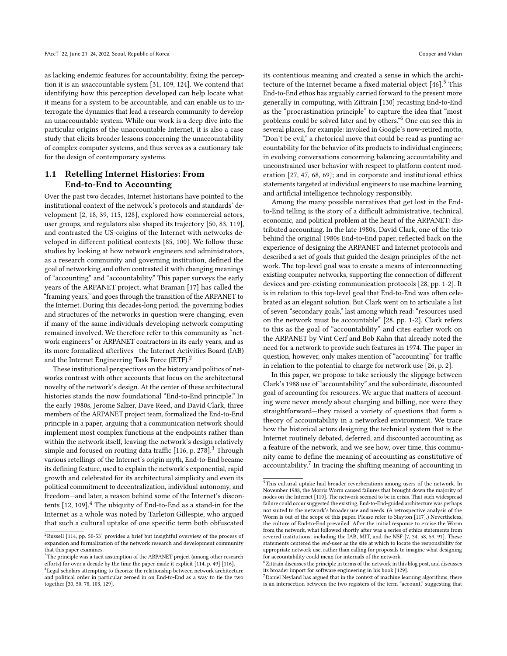as lacking endemic features for accountability, fixing the perception it is an unaccountable system [\[31,](#page-12-5) [109,](#page-13-10) [124\]](#page-14-2). We contend that identifying how this perception developed can help locate what it means for a system to be accountable, and can enable us to interrogate the dynamics that lead a research community to develop an unaccountable system. While our work is a deep dive into the particular origins of the unaccountable Internet, it is also a case study that elicits broader lessons concerning the unaccountability of complex computer systems, and thus serves as a cautionary tale for the design of contemporary systems.

## 1.1 Retelling Internet Histories: From End-to-End to Accounting

Over the past two decades, Internet historians have pointed to the institutional context of the network's protocols and standards' development [\[2,](#page-12-6) [18,](#page-12-7) [39,](#page-12-8) [115,](#page-14-3) [128\]](#page-14-4), explored how commercial actors, user groups, and regulators also shaped its trajectory [\[50,](#page-12-9) [83,](#page-13-11) [119\]](#page-14-5), and contrasted the US-origins of the Internet with networks developed in different political contexts [\[85,](#page-13-12) [100\]](#page-13-13). We follow these studies by looking at how network engineers and administrators, as a research community and governing institution, defined the goal of networking and often contrasted it with changing meanings of "accounting" and "accountability." This paper surveys the early years of the ARPANET project, what Braman [\[17\]](#page-12-10) has called the "framing years," and goes through the transition of the ARPANET to the Internet. During this decades-long period, the governing bodies and structures of the networks in question were changing, even if many of the same individuals developing network computing remained involved. We therefore refer to this community as "network engineers" or ARPANET contractors in its early years, and as its more formalized afterlives—the Internet Activities Board (IAB) and the Internet Engineering Task Force (IETF).<sup>[2](#page-1-0)</sup>

These institutional perspectives on the history and politics of networks contrast with other accounts that focus on the architectural novelty of the network's design. At the center of these architectural histories stands the now foundational "End-to-End principle." In the early 1980s, Jerome Salzer, Dave Reed, and David Clark, three members of the ARPANET project team, formalized the End-to-End principle in a paper, arguing that a communication network should implement most complex functions at the endpoints rather than within the network itself, leaving the network's design relatively simple and focused on routing data traffic  $[116, p. 278]$  $[116, p. 278]$ <sup>[3](#page-1-1)</sup> Through various retellings of the Internet's origin myth, End-to-End became its defining feature, used to explain the network's exponential, rapid growth and celebrated for its architectural simplicity and even its political commitment to decentralization, individual autonomy, and freedom—and later, a reason behind some of the Internet's discontents  $[12, 109]$  $[12, 109]$  $[12, 109]$ .<sup>[4](#page-1-2)</sup> The ubiquity of End-to-End as a stand-in for the Internet as a whole was noted by Tarleton Gillespie, who argued that such a cultural uptake of one specific term both obfuscated

its contentious meaning and created a sense in which the architecture of the Internet became a fixed material object  $[46]$ <sup>[5](#page-1-3)</sup>. This End-to-End ethos has arguably carried forward to the present more generally in computing, with Zittrain [\[130\]](#page-14-9) recasting End-to-End as the "procrastination principle" to capture the idea that "most problems could be solved later and by others."[6](#page-1-4) One can see this in several places, for example: invoked in Google's now-retired motto, "Don't be evil," a rhetorical move that could be read as punting accountability for the behavior of its products to individual engineers; in evolving conversations concerning balancing accountability and unconstrained user behavior with respect to platform content moderation [\[27,](#page-12-14) [47,](#page-12-15) [68,](#page-13-16) [69\]](#page-13-17); and in corporate and institutional ethics statements targeted at individual engineers to use machine learning and artificial intelligence technology responsibly.

Among the many possible narratives that get lost in the Endto-End telling is the story of a difficult administrative, technical, economic, and political problem at the heart of the ARPANET: distributed accounting. In the late 1980s, David Clark, one of the trio behind the original 1980s End-to-End paper, reflected back on the experience of designing the ARPANET and Internet protocols and described a set of goals that guided the design principles of the network. The top-level goal was to create a means of interconnecting existing computer networks, supporting the connection of different devices and pre-existing communication protocols [\[28,](#page-12-16) pp. 1-2]. It is in relation to this top-level goal that End-to-End was often celebrated as an elegant solution. But Clark went on to articulate a list of seven "secondary goals," last among which read: "resources used on the network must be accountable" [\[28,](#page-12-16) pp. 1-2]. Clark refers to this as the goal of "accountability" and cites earlier work on the ARPANET by Vint Cerf and Bob Kahn that already noted the need for a network to provide such features in 1974. The paper in question, however, only makes mention of "accounting" for traffic in relation to the potential to charge for network use [\[26,](#page-12-17) p. 2].

In this paper, we propose to take seriously the slippage between Clark's 1988 use of "accountability" and the subordinate, discounted goal of accounting for resources. We argue that matters of accounting were never merely about charging and billing, nor were they straightforward—they raised a variety of questions that form a theory of accountability in a networked environment. We trace how the historical actors designing the technical system that is the Internet routinely debated, deferred, and discounted accounting as a feature of the network, and we see how, over time, this community came to define the meaning of accounting as constitutive of accountability.<sup>[7](#page-1-5)</sup> In tracing the shifting meaning of accounting in

<span id="page-1-0"></span> $^2{\rm Russell}$  [\[114,](#page-14-7) pp. 50-53] provides a brief but insightful overview of the process of expansion and formalization of the network research and development community that this paper examines.

<span id="page-1-1"></span><sup>&</sup>lt;sup>3</sup>The principle was a tacit assumption of the ARPANET project (among other research efforts) for over a decade by the time the paper made it explicit [\[114,](#page-14-7) p. 49] [\[116\]](#page-14-6).

<span id="page-1-2"></span><sup>4</sup>Legal scholars attempting to theorize the relationship between network architecture and political order in particular zeroed in on End-to-End as a way to tie the two together [\[30,](#page-12-12) [50,](#page-12-9) [78,](#page-13-14) [103,](#page-13-15) [129\]](#page-14-8).

<span id="page-1-3"></span><sup>5</sup>This cultural uptake had broader reverberations among users of the network. In November 1988, the Morris Worm caused failures that brought down the majority of nodes on the Internet [\[110\]](#page-13-18). The network seemed to be in crisis. That such widespread failure could occur suggested the existing, End-to-End-guided architecture was perhaps not suited to the network's broader use and needs. (A retrospective analysis of the Worm is out of the scope of this paper. Please refer to Slayton [\[117\]](#page-14-10).) Nevertheless, the culture of End-to-End prevailed. After the initial response to excise the Worm from the network, what followed shortly after was a series of ethics statements from revered institutions, including the IAB, MIT, and the NSF [\[7,](#page-12-18) [34,](#page-12-19) [58,](#page-13-19) [59,](#page-13-20) [91\]](#page-13-21). These statements centered the end-user as the site at which to locate the responsibility for appropriate network use, rather than calling for proposals to imagine what designing for accountability could mean for internals of the network.

<span id="page-1-4"></span> $6$ Zittrain discusses the principle in terms of the network in this blog post, and discusses its broader import for software engineering in his book [\[129\]](#page-14-8).

<span id="page-1-5"></span> $7$ Daniel Neyland has argued that in the context of machine learning algorithms, there is an intersection between the two registers of the term "account," suggesting that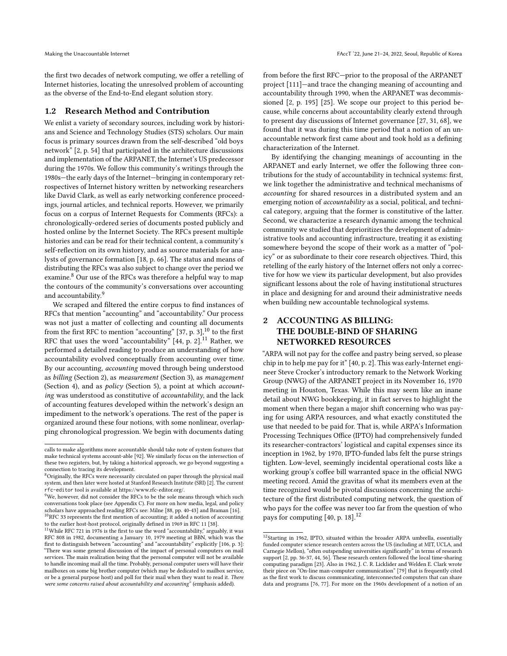the first two decades of network computing, we offer a retelling of Internet histories, locating the unresolved problem of accounting as the obverse of the End-to-End elegant solution story.

#### 1.2 Research Method and Contribution

We enlist a variety of secondary sources, including work by historians and Science and Technology Studies (STS) scholars. Our main focus is primary sources drawn from the self-described "old boys network" [\[2,](#page-12-6) p. 54] that participated in the architecture discussions and implementation of the ARPANET, the Internet's US predecessor during the 1970s. We follow this community's writings through the 1980s—the early days of the Internet—bringing in contemporary retrospectives of Internet history written by networking researchers like David Clark, as well as early networking conference proceedings, journal articles, and technical reports. However, we primarily focus on a corpus of Internet Requests for Comments (RFCs): a chronologically-ordered series of documents posted publicly and hosted online by the Internet Society. The RFCs present multiple histories and can be read for their technical content, a community's self-reflection on its own history, and as source materials for analysts of governance formation [\[18,](#page-12-7) p. 66]. The status and means of distributing the RFCs was also subject to change over the period we examine.<sup>[8](#page-2-0)</sup> Our use of the RFCs was therefore a helpful way to map the contours of the community's conversations over accounting and accountability.<sup>[9](#page-2-1)</sup>

We scraped and filtered the entire corpus to find instances of RFCs that mention "accounting" and "accountability." Our process was not just a matter of collecting and counting all documents from the first RFC to mention "accounting"  $[37, p. 3]$  $[37, p. 3]$ ,  $^{10}$  $^{10}$  $^{10}$  to the first RFC that uses the word "accountability"  $[44, p. 2]$  $[44, p. 2]$ .<sup>[11](#page-2-3)</sup> Rather, we performed a detailed reading to produce an understanding of how accountability evolved conceptually from accounting over time. By our accounting, accounting moved through being understood as billing (Section [2\)](#page-2-4), as measurement (Section [3\)](#page-4-0), as management (Section [4\)](#page-6-0), and as policy (Section [5\)](#page-9-0), a point at which accounting was understood as constitutive of accountability, and the lack of accounting features developed within the network's design an impediment to the network's operations. The rest of the paper is organized around these four notions, with some nonlinear, overlapping chronological progression. We begin with documents dating

from before the first RFC—prior to the proposal of the ARPANET project [\[111\]](#page-13-25)—and trace the changing meaning of accounting and accountability through 1990, when the ARPANET was decommissioned [\[2,](#page-12-6) p. 195] [\[25\]](#page-12-24). We scope our project to this period because, while concerns about accountability clearly extend through to present day discussions of Internet governance [\[27,](#page-12-14) [31,](#page-12-5) [68\]](#page-13-16), we found that it was during this time period that a notion of an unaccountable network first came about and took hold as a defining characterization of the Internet.

By identifying the changing meanings of accounting in the ARPANET and early Internet, we offer the following three contributions for the study of accountability in technical systems: first, we link together the administrative and technical mechanisms of accounting for shared resources in a distributed system and an emerging notion of accountability as a social, political, and technical category, arguing that the former is constitutive of the latter. Second, we characterize a research dynamic among the technical community we studied that deprioritizes the development of administrative tools and accounting infrastructure, treating it as existing somewhere beyond the scope of their work as a matter of "policy" or as subordinate to their core research objectives. Third, this retelling of the early history of the Internet offers not only a corrective for how we view its particular development, but also provides significant lessons about the role of having institutional structures in place and designing for and around their administrative needs when building new accountable technological systems.

# <span id="page-2-4"></span>2 ACCOUNTING AS BILLING: THE DOUBLE-BIND OF SHARING NETWORKED RESOURCES

"ARPA will not pay for the coffee and pastry being served, so please chip in to help me pay for it" [\[40,](#page-12-25) p. 2]. This was early-Internet engineer Steve Crocker's introductory remark to the Network Working Group (NWG) of the ARPANET project in its November 16, 1970 meeting in Houston, Texas. While this may seem like an inane detail about NWG bookkeeping, it in fact serves to highlight the moment when there began a major shift concerning who was paying for using ARPA resources, and what exactly constituted the use that needed to be paid for. That is, while ARPA's Information Processing Techniques Office (IPTO) had comprehensively funded its researcher-contractors' logistical and capital expenses since its inception in 1962, by 1970, IPTO-funded labs felt the purse strings tighten. Low-level, seemingly incidental operational costs like a working group's coffee bill warranted space in the official NWG meeting record. Amid the gravitas of what its members even at the time recognized would be pivotal discussions concerning the architecture of the first distributed computing network, the question of who pays for the coffee was never too far from the question of who pays for computing [\[40,](#page-12-25) p. 18].<sup>[12](#page-2-5)</sup>

calls to make algorithms more accountable should take note of system features that make technical systems account-able [\[92\]](#page-13-22). We similarly focus on the intersection of these two registers, but, by taking a historical approach, we go beyond suggesting a connection to tracing its development.

<span id="page-2-0"></span><sup>&</sup>lt;sup>8</sup>Originally, the RFCs were necessarily circulated on paper through the physical mail system, and then later were hosted at Stanford Research Institute (SRI) [\[2\]](#page-12-6). The current rfc-editor tool is available at [https://www.rfc-editor.org/.](https://www.rfc-editor.org/)

<span id="page-2-1"></span><sup>&</sup>lt;sup>9</sup>We, however, did not consider the RFCs to be the sole means through which such conversations took place (see Appendix [C\)](#page-15-0). For more on how media, legal, and policy scholars have approached reading RFCs see: Milne [\[88,](#page-13-23) pp. 40-43] and Braman [\[16\]](#page-12-22).  $^{10}\mathrm{RFC}$  33 represents the first mention of accounting; it added a notion of accounting to the earlier host-host protocol, originally defined in 1969 in RFC 11 [\[38\]](#page-12-23).

<span id="page-2-3"></span><span id="page-2-2"></span> $^{11}$ While RFC 721 in 1976 is the first to use the word "accountability," arguably, it was RFC 808 in 1982, documenting a January 10, 1979 meeting at BBN, which was the first to distinguish between "accounting" and "accountability" explicitly [\[106,](#page-13-24) p. 3]: "There was some general discussion of the impact of personal computers on mail services. The main realization being that the personal computer will not be available to handle incoming mail all the time. Probably, personal computer users will have their mailboxes on some big brother computer (which may be dedicated to mailbox service, or be a general purpose host) and poll for their mail when they want to read it. There were some concerns raised about accountability and accounting" (emphasis added).

<span id="page-2-5"></span> $12$ Starting in 1962, IPTO, situated within the broader ARPA umbrella, essentially funded computer science research centers across the US (including at MIT, UCLA, and Carnegie Mellon), "often outspending universities significantly" in terms of research support [\[2,](#page-12-6) pp. 36-37, 44, 56]. These research centers followed the local time-sharing computing paradigm [\[23\]](#page-12-26). Also in 1962, J. C. R. Licklider and Welden E. Clark wrote their piece on "On-line man-computer communication" [\[79\]](#page-13-26) that is frequently cited as the first work to discuss communicating, interconnected computers that can share data and programs [\[76,](#page-13-27) [77\]](#page-13-9). For more on the 1960s development of a notion of an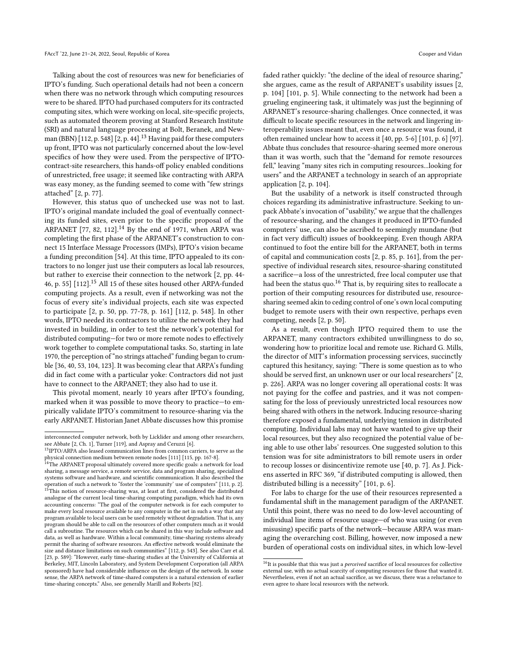Talking about the cost of resources was new for beneficiaries of IPTO's funding. Such operational details had not been a concern when there was no network through which computing resources were to be shared. IPTO had purchased computers for its contracted computing sites, which were working on local, site-specific projects, such as automated theorem proving at Stanford Research Institute (SRI) and natural language processing at Bolt, Beranek, and New-man (BBN) [\[112,](#page-13-28) p. 548] [\[2,](#page-12-6) p. 44].<sup>[13](#page-3-0)</sup> Having paid for these computers up front, IPTO was not particularly concerned about the low-level specifics of how they were used. From the perspective of IPTOcontract-site researchers, this hands-off policy enabled conditions of unrestricted, free usage; it seemed like contracting with ARPA was easy money, as the funding seemed to come with "few strings attached" [\[2,](#page-12-6) p. 77].

However, this status quo of unchecked use was not to last. IPTO's original mandate included the goal of eventually connecting its funded sites, even prior to the specific proposal of the ARPANET [\[77,](#page-13-9) [82,](#page-13-29) [112\]](#page-13-28).<sup>[14](#page-3-1)</sup> By the end of 1971, when ARPA was completing the first phase of the ARPANET's construction to connect 15 Interface Message Processors (IMPs), IPTO's vision became a funding precondition [\[54\]](#page-12-27). At this time, IPTO appealed to its contractors to no longer just use their computers as local lab resources, but rather to exercise their connection to the network [\[2,](#page-12-6) pp. 44- 46, p. 55] [\[112\]](#page-13-28).[15](#page-3-2) All 15 of these sites housed other ARPA-funded computing projects. As a result, even if networking was not the focus of every site's individual projects, each site was expected to participate [\[2,](#page-12-6) p. 50, pp. 77-78, p. 161] [\[112,](#page-13-28) p. 548]. In other words, IPTO needed its contractors to utilize the network they had invested in building, in order to test the network's potential for distributed computing—for two or more remote nodes to effectively work together to complete computational tasks. So, starting in late 1970, the perception of "no strings attached" funding began to crumble [\[36,](#page-12-28) [40,](#page-12-25) [53,](#page-12-29) [104,](#page-13-30) [123\]](#page-14-11). It was becoming clear that ARPA's funding did in fact come with a particular yoke: Contractors did not just have to connect to the ARPANET; they also had to use it.

This pivotal moment, nearly 10 years after IPTO's founding, marked when it was possible to move theory to practice—to empirically validate IPTO's commitment to resource-sharing via the early ARPANET. Historian Janet Abbate discusses how this promise

faded rather quickly: "the decline of the ideal of resource sharing," she argues, came as the result of ARPANET's usability issues [\[2,](#page-12-6) p. 104] [\[101,](#page-13-31) p. 5]. While connecting to the network had been a grueling engineering task, it ultimately was just the beginning of ARPANET's resource-sharing challenges. Once connected, it was difficult to locate specific resources in the network and lingering interoperability issues meant that, even once a resource was found, it often remained unclear how to access it [\[40,](#page-12-25) pp. 5-6] [\[101,](#page-13-31) p. 6] [\[97\]](#page-13-32). Abbate thus concludes that resource-sharing seemed more onerous than it was worth, such that the "demand for remote resources fell," leaving "many sites rich in computing resources...looking for users" and the ARPANET a technology in search of an appropriate application [\[2,](#page-12-6) p. 104].

But the usability of a network is itself constructed through choices regarding its administrative infrastructure. Seeking to unpack Abbate's invocation of "usability," we argue that the challenges of resource-sharing, and the changes it produced in IPTO-funded computers' use, can also be ascribed to seemingly mundane (but in fact very difficult) issues of bookkeeping. Even though ARPA continued to foot the entire bill for the ARPANET, both in terms of capital and communication costs [\[2,](#page-12-6) p. 85, p. 161], from the perspective of individual research sites, resource-sharing constituted a sacrifice—a loss of the unrestricted, free local computer use that had been the status quo.<sup>[16](#page-3-3)</sup> That is, by requiring sites to reallocate a portion of their computing resources for distributed use, resourcesharing seemed akin to ceding control of one's own local computing budget to remote users with their own respective, perhaps even competing, needs [\[2,](#page-12-6) p. 50].

As a result, even though IPTO required them to use the ARPANET, many contractors exhibited unwillingness to do so, wondering how to prioritize local and remote use. Richard G. Mills, the director of MIT's information processing services, succinctly captured this hesitancy, saying: "There is some question as to who should be served first, an unknown user or our local researchers" [\[2,](#page-12-6) p. 226]. ARPA was no longer covering all operational costs: It was not paying for the coffee and pastries, and it was not compensating for the loss of previously unrestricted local resources now being shared with others in the network. Inducing resource-sharing therefore exposed a fundamental, underlying tension in distributed computing. Individual labs may not have wanted to give up their local resources, but they also recognized the potential value of being able to use other labs' resources. One suggested solution to this tension was for site administrators to bill remote users in order to recoup losses or disincentivize remote use [\[40,](#page-12-25) p. 7]. As J. Pickens asserted in RFC 369, "if distributed computing is allowed, then distributed billing is a necessity" [\[101,](#page-13-31) p. 6].

For labs to charge for the use of their resources represented a fundamental shift in the management paradigm of the ARPANET. Until this point, there was no need to do low-level accounting of individual line items of resource usage—of who was using (or even misusing) specific parts of the network—because ARPA was managing the overarching cost. Billing, however, now imposed a new burden of operational costs on individual sites, in which low-level

interconnected computer network, both by Licklider and among other researchers, see Abbate [\[2,](#page-12-6) Ch. 1], Turner [\[119\]](#page-14-5), and Aspray and Ceruzzi [\[6\]](#page-12-30).<br><sup>13</sup>IPTO/ARPA also leased communication lines from common carriers, to serve as the

<span id="page-3-0"></span>physical connection medium between remote nodes [\[111\]](#page-13-25) [\[115,](#page-14-3) pp. 167-8].

<span id="page-3-2"></span><span id="page-3-1"></span><sup>&</sup>lt;sup>14</sup>The ARPANET proposal ultimately covered more specific goals: a network for load sharing, a message service, a remote service, data and program sharing, specialized systems software and hardware, and scientific communication. It also described the operation of such a network to "foster the 'community' use of computers" [\[111,](#page-13-25) p. 2]. <sup>15</sup>This notion of resource-sharing was, at least at first, considered the distributed analogue of the current local time-sharing computing paradigm, which had its own accounting concerns: "The goal of the computer network is for each computer to make every local resource available to any computer in the net in such a way that any program available to local users can be used remotely without degradation. That is, any program should be able to call on the resources of other computers much as it would call a subroutine. The resources which can be shared in this way include software and data, as well as hardware. Within a local community, time-sharing systems already permit the sharing of software resources. An effective network would eliminate the size and distance limitations on such communities" [\[112,](#page-13-28) p. 543]. See also Carr et al. [\[23,](#page-12-26) p. 589]: "However, early time-sharing studies at the University of California at Berkeley, MIT, Lincoln Laboratory, and System Development Corporation (all ARPA sponsored) have had considerable influence on the design of the network. In some sense, the ARPA network of time-shared computers is a natural extension of earlier time-sharing concepts." Also, see generally Marill and Roberts [\[82\]](#page-13-29).

<span id="page-3-3"></span> $^{16}{\rm It}$  is possible that this was just a  $perceived$  sacrifice of local resources for collective external use, with no actual scarcity of computing resources for those that wanted it. Nevertheless, even if not an actual sacrifice, as we discuss, there was a reluctance to even agree to share local resources with the network.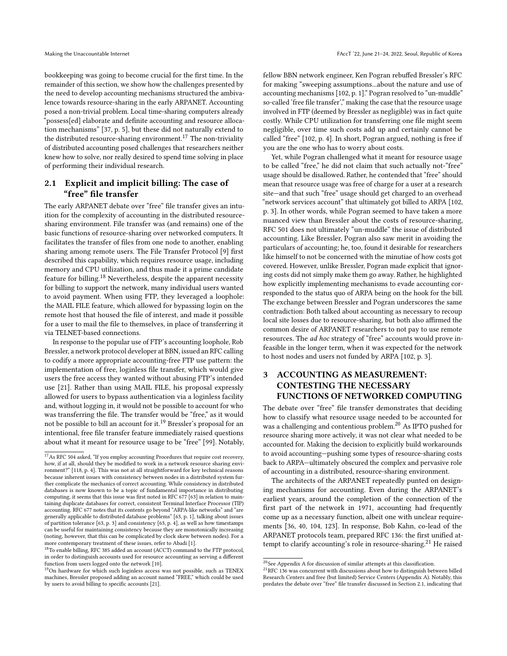bookkeeping was going to become crucial for the first time. In the remainder of this section, we show how the challenges presented by the need to develop accounting mechanisms structured the ambivalence towards resource-sharing in the early ARPANET. Accounting posed a non-trivial problem. Local time-sharing computers already "possess[ed] elaborate and definite accounting and resource allocation mechanisms" [\[37,](#page-12-20) p. 5], but these did not naturally extend to the distributed resource-sharing environment.<sup>[17](#page-4-1)</sup> The non-triviality of distributed accounting posed challenges that researchers neither knew how to solve, nor really desired to spend time solving in place of performing their individual research.

# <span id="page-4-6"></span>2.1 Explicit and implicit billing: The case of "free" file transfer

The early ARPANET debate over "free" file transfer gives an intuition for the complexity of accounting in the distributed resourcesharing environment. File transfer was (and remains) one of the basic functions of resource-sharing over networked computers. It facilitates the transfer of files from one node to another, enabling sharing among remote users. The File Transfer Protocol [\[9\]](#page-12-31) first described this capability, which requires resource usage, including memory and CPU utilization, and thus made it a prime candidate feature for billing.[18](#page-4-2) Nevertheless, despite the apparent necessity for billing to support the network, many individual users wanted to avoid payment. When using FTP, they leveraged a loophole: the MAIL FILE feature, which allowed for bypassing login on the remote host that housed the file of interest, and made it possible for a user to mail the file to themselves, in place of transferring it via TELNET-based connections.

In response to the popular use of FTP's accounting loophole, Rob Bressler, a network protocol developer at BBN, issued an RFC calling to codify a more appropriate accounting-free FTP use pattern: the implementation of free, loginless file transfer, which would give users the free access they wanted without abusing FTP's intended use [\[21\]](#page-12-32). Rather than using MAIL FILE, his proposal expressly allowed for users to bypass authentication via a loginless facility and, without logging in, it would not be possible to account for who was transferring the file. The transfer would be "free," as it would not be possible to bill an account for it.[19](#page-4-3) Bressler's proposal for an intentional, free file transfer feature immediately raised questions about what it meant for resource usage to be "free" [\[99\]](#page-13-33). Notably,

<span id="page-4-2"></span>in order to distinguish accounts used for resource accounting as serving a different function from users logged onto the network [\[10\]](#page-12-34).

fellow BBN network engineer, Ken Pogran rebuffed Bressler's RFC for making "sweeping assumptions...about the nature and use of accounting mechanisms [\[102,](#page-13-35) p. 1]." Pogran resolved to "un-muddle" so-called 'free file transfer'," making the case that the resource usage involved in FTP (deemed by Bressler as negligible) was in fact quite costly. While CPU utilization for transferring one file might seem negligible, over time such costs add up and certainly cannot be called "free" [\[102,](#page-13-35) p. 4]. In short, Pogran argued, nothing is free if you are the one who has to worry about costs.

Yet, while Pogran challenged what it meant for resource usage to be called "free," he did not claim that such actually not-"free" usage should be disallowed. Rather, he contended that "free" should mean that resource usage was free of charge for a user at a research site—and that such "free" usage should get charged to an overhead "network services account" that ultimately got billed to ARPA [\[102,](#page-13-35) p. 3]. In other words, while Pogran seemed to have taken a more nuanced view than Bressler about the costs of resource-sharing, RFC 501 does not ultimately "un-muddle" the issue of distributed accounting. Like Bressler, Pogran also saw merit in avoiding the particulars of accounting; he, too, found it desirable for researchers like himself to not be concerned with the minutiae of how costs got covered. However, unlike Bressler, Pogran made explicit that ignoring costs did not simply make them go away. Rather, he highlighted how explicitly implementing mechanisms to evade accounting corresponded to the status quo of ARPA being on the hook for the bill. The exchange between Bressler and Pogran underscores the same contradiction: Both talked about accounting as necessary to recoup local site losses due to resource-sharing, but both also affirmed the common desire of ARPANET researchers to not pay to use remote resources. The ad hoc strategy of "free" accounts would prove infeasible in the longer term, when it was expected for the network to host nodes and users not funded by ARPA [\[102,](#page-13-35) p. 3].

# <span id="page-4-0"></span>3 ACCOUNTING AS MEASUREMENT: CONTESTING THE NECESSARY FUNCTIONS OF NETWORKED COMPUTING

The debate over "free" file transfer demonstrates that deciding how to classify what resource usage needed to be accounted for was a challenging and contentious problem.<sup>[20](#page-4-4)</sup> As IPTO pushed for resource sharing more actively, it was not clear what needed to be accounted for. Making the decision to explicitly build workarounds to avoid accounting—pushing some types of resource-sharing costs back to ARPA—ultimately obscured the complex and pervasive role of accounting in a distributed, resource-sharing environment.

The architects of the ARPANET repeatedly punted on designing mechanisms for accounting. Even during the ARPANET's earliest years, around the completion of the connection of the first part of the network in 1971, accounting had frequently come up as a necessary function, albeit one with unclear requirements [\[36,](#page-12-28) [40,](#page-12-25) [104,](#page-13-30) [123\]](#page-14-11). In response, Bob Kahn, co-lead of the ARPANET protocols team, prepared RFC 136: the first unified at-tempt to clarify accounting's role in resource-sharing.<sup>[21](#page-4-5)</sup> He raised

<span id="page-4-1"></span><sup>&</sup>lt;sup>17</sup> As RFC 504 asked, "If you employ accounting Procedures that require cost recovery, how, if at all, should they be modified to work in a network resource sharing environment?" [\[118,](#page-14-12) p. 4]. This was not at all straightforward for key technical reasons because inherent issues with consistency between nodes in a distributed system further complicate the mechanics of correct accounting. While consistency in distributed databases is now known to be a topic of fundamental importance in distributing computing, it seems that this issue was first noted in RFC 677 [\[63\]](#page-13-34) in relation to maintaining duplicate databases for correct, consistent Terminal Interface Processor (TIP) accounting. RFC 677 notes that its contents go beyond "ARPA-like networks" and "are generally applicable to distributed database problems" [\[63,](#page-13-34) p. 1], talking about issues of partition tolerance [\[63,](#page-13-34) p. 3] and consistency [\[63,](#page-13-34) p. 4], as well as how timestamps can be useful for maintaining consistency because they are monotonically increasing (noting, however, that this can be complicated by clock skew between nodes). For a more contemporary treatment of these issues, refer to Abadi [\[1\]](#page-12-33). <sup>18</sup>To enable billing, RFC 385 added an account (ACCT) command to the FTP protocol,

<span id="page-4-3"></span><sup>&</sup>lt;sup>19</sup>On hardware for which such loginless access was not possible, such as TENEX machines, Bressler proposed adding an account named "FREE," which could be used by users to avoid billing to specific accounts [\[21\]](#page-12-32).

<span id="page-4-4"></span> $^{20}\mathrm{See}$  [A](#page-14-13)ppendix A for discussion of similar attempts at this classification.

<span id="page-4-5"></span> $21$ RFC 136 was concurrent with discussions about how to distinguish between billed Research Centers and free (but limited) Service Centers (Appendix [A\)](#page-14-13). Notably, this predates the debate over "free" file transfer discussed in Section [2.1,](#page-4-6) indicating that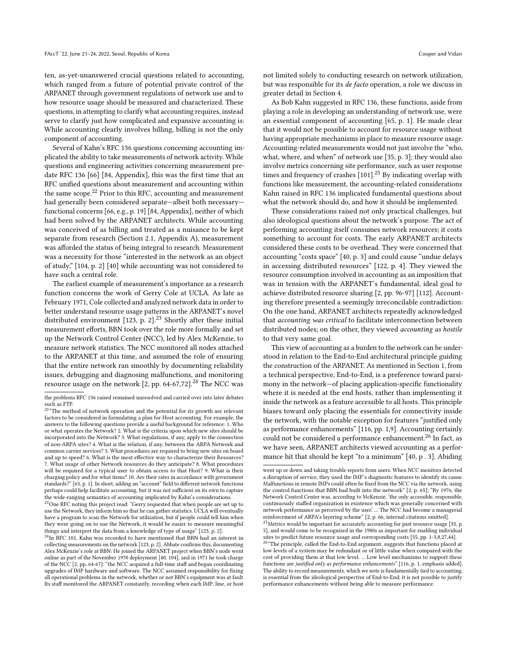ten, as-yet-unanswered crucial questions related to accounting, which ranged from a future of potential private control of the ARPANET through government regulations of network use and to how resource usage should be measured and characterized. These questions, in attempting to clarify what accounting requires, instead serve to clarify just how complicated and expansive accounting is: While accounting clearly involves billing, billing is not the only component of accounting.

Several of Kahn's RFC 136 questions concerning accounting implicated the ability to take measurements of network activity. While questions and engineering activities concerning measurement predate RFC 136 [\[66\]](#page-13-36) [\[84,](#page-13-37) Appendix], this was the first time that an RFC unified questions about measurement and accounting within the same scope. $22$  Prior to this RFC, accounting and measurement had generally been considered separate—albeit both necessary functional concerns [\[66,](#page-13-36) e.g., p. 19] [\[84,](#page-13-37) Appendix], neither of which had been solved by the ARPANET architects. While accounting was conceived of as billing and treated as a nuisance to be kept separate from research (Section [2.1,](#page-4-6) Appendix [A\)](#page-14-13), measurement was afforded the status of being integral to research. Measurement was a necessity for those "interested in the network as an object of study," [\[104,](#page-13-30) p. 2] [\[40\]](#page-12-25) while accounting was not considered to have such a central role.

The earliest example of measurement's importance as a research function concerns the work of Gerry Cole at UCLA. As late as February 1971, Cole collected and analyzed network data in order to better understand resource usage patterns in the ARPANET's novel distributed environment  $[123, p. 2]$  $[123, p. 2]$ .<sup>[23](#page-5-1)</sup> Shortly after these initial measurement efforts, BBN took over the role more formally and set up the Network Control Center (NCC), led by Alex McKenzie, to measure network statistics. The NCC monitored all nodes attached to the ARPANET at this time, and assumed the role of ensuring that the entire network ran smoothly by documenting reliability issues, debugging and diagnosing malfunctions, and monitoring resource usage on the network  $[2, pp. 64-67, 72]$  $[2, pp. 64-67, 72]$ .<sup>[24](#page-5-2)</sup> The NCC was not limited solely to conducting research on network utilization, but was responsible for its de facto operation, a role we discuss in greater detail in Section [4.](#page-6-0)

As Bob Kahn suggested in RFC 136, these functions, aside from playing a role in developing an understanding of network use, were an essential component of accounting [\[65,](#page-13-38) p. 1]. He made clear that it would not be possible to account for resource usage without having appropriate mechanisms in place to measure resource usage. Accounting-related measurements would not just involve the "who, what, where, and when" of network use [\[35,](#page-12-35) p. 3]; they would also involve metrics concerning site performance, such as user response times and frequency of crashes [\[101\]](#page-13-31).<sup>[25](#page-5-3)</sup> By indicating overlap with functions like measurement, the accounting-related considerations Kahn raised in RFC 136 implicated fundamental questions about what the network should do, and how it should be implemented.

These considerations raised not only practical challenges, but also ideological questions about the network's purpose. The act of performing accounting itself consumes network resources; it costs something to account for costs. The early ARPANET architects considered these costs to be overhead. They were concerned that accounting "costs space" [\[40,](#page-12-25) p. 3] and could cause "undue delays in accessing distributed resources" [\[122,](#page-14-14) p. 4]. They viewed the resource consumption involved in accounting as an imposition that was in tension with the ARPANET's fundamental, ideal goal to achieve distributed resource sharing [\[2,](#page-12-6) pp. 96-97] [\[112\]](#page-13-28). Accounting therefore presented a seemingly irreconcilable contradiction: On the one hand, ARPANET architects repeatedly acknowledged that accounting was critical to facilitate interconnection between distributed nodes; on the other, they viewed accounting as hostile to that very same goal.

This view of accounting as a burden to the network can be understood in relation to the End-to-End architectural principle guiding the construction of the ARPANET. As mentioned in Section [1,](#page-0-1) from a technical perspective, End-to-End, is a preference toward parsimony in the network—of placing application-specific functionality where it is needed at the end hosts, rather than implementing it inside the network as a feature accessible to all hosts. This principle biases toward only placing the essentials for connectivity inside the network, with the notable exception for features "justified only as performance enhancements" [\[116,](#page-14-6) pp. 1,9]. Accounting certainly could not be considered a performance enhancement.<sup>[26](#page-5-4)</sup> In fact, as we have seen, ARPANET architects viewed accounting as a performance hit that should be kept "to a minimum" [\[40,](#page-12-25) p . 3]. Abiding

the problems RFC 136 raised remained unresolved and carried over into later debates such as FTP.<br><sup>22</sup>"The method of network operation and the potential for its growth are relevant

<span id="page-5-0"></span>factors to be considered in formulating a plan for Host accounting. For example, the answers to the following questions provide a useful background for reference: 1. Who or what operates the Network? 2. What is the criteria upon which new sites should be incorporated into the Network? 3. What regulations, if any, apply to the connection of non-ARPA sites? 4. What is the relation, if any, between the ARPA Network and common carrier services? 5. What procedures are required to bring new sites on board and up to speed? 6. What is the most effective way to characterize their Resources? 7. What usage of other Network resources do they anticipate? 8. What procedures will be required for a typical user to obtain access to that Host? 9. What is their charging policy and for what items? 10. Are their rates in accordance with government standards?" [\[65,](#page-13-38) p. 1]. In short, adding an "account" field to different network functions perhaps could help facilitate accounting, but it was not sufficient on its own to capture the wide-ranging semantics of accounting implicated by Kahn's considerations.

<span id="page-5-1"></span> $^{23}\rm{One}$  RFC noting this project read: "Gerry requested that when people are set up to use the Network, they inform him so that he can gather statistics. UCLA will eventually have a program to scan the Network for utilization, but if people could tell him when they were going on to use the Network, it would be easier to measure meaningful things and interpret the data from a knowledge of type of usage" [\[123,](#page-14-11) p. 2].

<span id="page-5-2"></span> $^{24}$ In RFC 101, Kahn was recorded to have mentioned that BBN had an interest in collecting measurements on the network [\[123,](#page-14-11) p. 2]. Abbate confirms this, documenting Alex McKenzie's role at BBN: He joined the ARPANET project when BBN's node went online as part of the November 1970 deployment [\[40,](#page-12-25) [104\]](#page-13-30), and in 1971 he took charge of the NCC [\[2,](#page-12-6) pp. 64-67]: "the NCC acquired a full-time staff and began coordinating upgrades of IMP hardware and software. The NCC assumed responsibility for fixing all operational problems in the network, whether or not BBN's equipment was at fault. Its staff monitored the ARPANET constantly, recording when each IMP, line, or host

went up or down and taking trouble reports from users. When NCC monitors detected a disruption of service, they used the IMP's diagnostic features to identify its cause. Malfunctions in remote IMPs could often be fixed from the NCC via the network, using the control functions that BBN had built into the network" [\[2,](#page-12-6) p. 65]; "By 1976, the Network Control Center was, according to McKenzie, 'the only accessible, responsible, continuously staffed organization in existence which was generally concerned with network performance as perceived by the user.' ... The NCC had become a managerial reinforcement of ARPA's layering scheme" [\[2,](#page-12-6) p. 66, internal citations omitted].

<span id="page-5-3"></span> $^{25}\rm{M}$  would be important for accurately accounting for past resource usage [\[35,](#page-12-35) p. 5], and would come to be recognized in the 1980s as important for enabling individual sites to predict future resource usage and corresponding costs [\[55,](#page-13-39) pp. 1-3,8,27,44].

<span id="page-5-4"></span><sup>&</sup>lt;sup>26</sup>"The principle, called the End-to-End argument, suggests that functions placed at low levels of a system may be redundant or of little value when compared with the cost of providing them at that low level. ... Low level mechanisms to support these functions are justified only as performance enhancements" [\[116,](#page-14-6) p. 1, emphasis added]. The ability to record measurements, which we note is fundamentally tied to accounting, is essential from the ideological perspective of End-to-End; it is not possible to justify performance enhancements without being able to measure performance.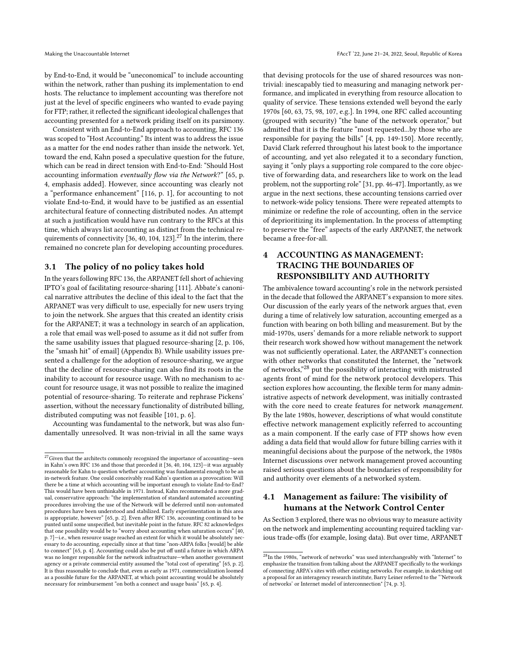by End-to-End, it would be "uneconomical" to include accounting within the network, rather than pushing its implementation to end hosts. The reluctance to implement accounting was therefore not just at the level of specific engineers who wanted to evade paying for FTP; rather, it reflected the significant ideological challenges that accounting presented for a network priding itself on its parsimony.

Consistent with an End-to-End approach to accounting, RFC 136 was scoped to "Host Accounting." Its intent was to address the issue as a matter for the end nodes rather than inside the network. Yet, toward the end, Kahn posed a speculative question for the future, which can be read in direct tension with End-to-End: "Should Host accounting information eventually flow via the Network?" [\[65,](#page-13-38) p. 4, emphasis added]. However, since accounting was clearly not a "performance enhancement" [\[116,](#page-14-6) p. 1], for accounting to not violate End-to-End, it would have to be justified as an essential architectural feature of connecting distributed nodes. An attempt at such a justification would have run contrary to the RFCs at this time, which always list accounting as distinct from the technical re-quirements of connectivity [\[36,](#page-12-28) [40,](#page-12-25) [104,](#page-13-30) [123\]](#page-14-11).<sup>[27](#page-6-1)</sup> In the interim, there remained no concrete plan for developing accounting procedures.

#### 3.1 The policy of no policy takes hold

In the years following RFC 136, the ARPANET fell short of achieving IPTO's goal of facilitating resource-sharing [\[111\]](#page-13-25). Abbate's canonical narrative attributes the decline of this ideal to the fact that the ARPANET was very difficult to use, especially for new users trying to join the network. She argues that this created an identity crisis for the ARPANET; it was a technology in search of an application, a role that email was well-posed to assume as it did not suffer from the same usability issues that plagued resource-sharing [\[2,](#page-12-6) p. 106, the "smash hit" of email] (Appendix [B\)](#page-15-1). While usability issues presented a challenge for the adoption of resource-sharing, we argue that the decline of resource-sharing can also find its roots in the inability to account for resource usage. With no mechanism to account for resource usage, it was not possible to realize the imagined potential of resource-sharing. To reiterate and rephrase Pickens' assertion, without the necessary functionality of distributed billing, distributed computing was not feasible [\[101,](#page-13-31) p. 6].

Accounting was fundamental to the network, but was also fundamentally unresolved. It was non-trivial in all the same ways

that devising protocols for the use of shared resources was nontrivial: inescapably tied to measuring and managing network performance, and implicated in everything from resource allocation to quality of service. These tensions extended well beyond the early 1970s [\[60,](#page-13-40) [63,](#page-13-34) [75,](#page-13-41) [98,](#page-13-42) [107,](#page-13-43) e.g.]. In 1994, one RFC called accounting (grouped with security) "the bane of the network operator," but admitted that it is the feature "most requested...by those who are responsible for paying the bills" [\[4,](#page-12-36) pp. 149-150]. More recently, David Clark referred throughout his latest book to the importance of accounting, and yet also relegated it to a secondary function, saying it "only plays a supporting role compared to the core objective of forwarding data, and researchers like to work on the lead problem, not the supporting role" [\[31,](#page-12-5) pp. 46-47]. Importantly, as we argue in the next sections, these accounting tensions carried over to network-wide policy tensions. There were repeated attempts to minimize or redefine the role of accounting, often in the service of deprioritizing its implementation. In the process of attempting to preserve the "free" aspects of the early ARPANET, the network became a free-for-all.

# <span id="page-6-0"></span>4 ACCOUNTING AS MANAGEMENT: TRACING THE BOUNDARIES OF RESPONSIBILITY AND AUTHORITY

The ambivalence toward accounting's role in the network persisted in the decade that followed the ARPANET's expansion to more sites. Our discussion of the early years of the network argues that, even during a time of relatively low saturation, accounting emerged as a function with bearing on both billing and measurement. But by the mid-1970s, users' demands for a more reliable network to support their research work showed how without management the network was not sufficiently operational. Later, the ARPANET's connection with other networks that constituted the Internet, the "network of networks,"[28](#page-6-2) put the possibility of interacting with mistrusted agents front of mind for the network protocol developers. This section explores how accounting, the flexible term for many administrative aspects of network development, was initially contrasted with the core need to create features for network management. By the late 1980s, however, descriptions of what would constitute effective network management explicitly referred to accounting as a main component. If the early case of FTP shows how even adding a data field that would allow for future billing carries with it meaningful decisions about the purpose of the network, the 1980s Internet discussions over network management proved accounting raised serious questions about the boundaries of responsibility for and authority over elements of a networked system.

# 4.1 Management as failure: The visibility of humans at the Network Control Center

As Section [3](#page-4-0) explored, there was no obvious way to measure activity on the network and implementing accounting required tackling various trade-offs (for example, losing data). But over time, ARPANET

<span id="page-6-1"></span> $^{27}\rm{Given}$  that the architects commonly recognized the importance of accounting—seen in Kahn's own RFC 136 and those that preceded it [\[36,](#page-12-28) [40,](#page-12-25) [104,](#page-13-30) [123\]](#page-14-11)—it was arguably reasonable for Kahn to question whether accounting was fundamental enough to be an in-network feature. One could conceivably read Kahn's question as a provocation: Will there be a time at which accounting will be important enough to violate End-to-End? This would have been unthinkable in 1971. Instead, Kahn recommended a more gradual, conservative approach: "the implementation of standard automated accounting procedures involving the use of the Network will be deferred until non-automated procedures have been understood and stabilized. Early experimentation in this area is appropriate, however" [\[65,](#page-13-38) p. 2]. Even after RFC 136, accounting continued to be punted until some unspecified, but inevitable point in the future. RFC 82 acknowledges that one possibility would be to "worry about accounting when saturation occurs" [\[40,](#page-12-25) p. 7]—i.e., when resource usage reached an extent for which it would be absolutely necessary to do accounting, especially since at that time "non-ARPA folks [would] be able to connect" [\[65,](#page-13-38) p. 4]. Accounting could also be put off until a future in which ARPA was no longer responsible for the network infrastructure—when another government agency or a private commercial entity assumed the "total cost of operating" [\[65,](#page-13-38) p. 2]. It is thus reasonable to conclude that, even as early as 1971, commercialization loomed as a possible future for the ARPANET, at which point accounting would be absolutely necessary for reimbursement "on both a connect and usage basis" [\[65,](#page-13-38) p. 4].

<span id="page-6-2"></span> $^{28}{\rm In}$  the 1980s, "network of networks" was used interchangeably with "Internet" to emphasize the transition from talking about the ARPANET specifically to the workings of connecting ARPA's sites with other existing networks. For example, in sketching out a proposal for an interagency research institute, Barry Leiner referred to the "'Network of networks' or Internet model of interconnection" [\[74,](#page-13-44) p. 3].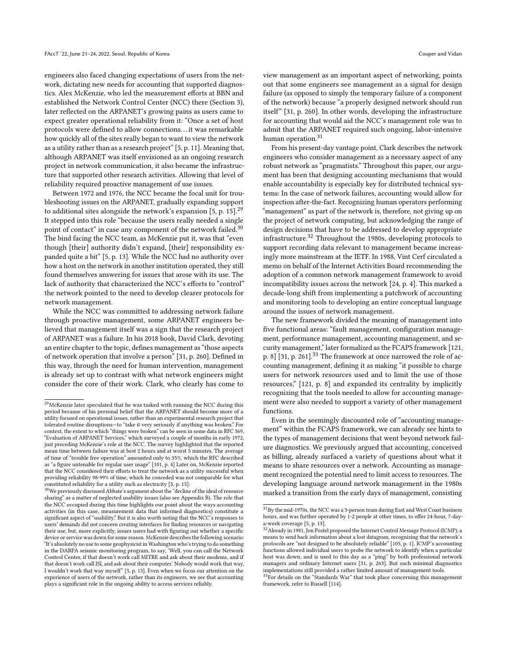engineers also faced changing expectations of users from the network, dictating new needs for accounting that supported diagnostics. Alex McKenzie, who led the measurement efforts at BBN and established the Network Control Center (NCC) there (Section [3\)](#page-4-0), later reflected on the ARPANET's growing pains as users came to expect greater operational reliability from it: "Once a set of host protocols were defined to allow connections. . .it was remarkable how quickly all of the sites really began to want to view the network as a utility rather than as a research project" [\[5,](#page-12-37) p. 11]. Meaning that, although ARPANET was itself envisioned as an ongoing research project in network communication, it also became the infrastructure that supported other research activities. Allowing that level of reliability required proactive management of use issues.

Between 1972 and 1976, the NCC became the focal unit for troubleshooting issues on the ARPANET, gradually expanding support to additional sites alongside the network's expansion [\[5,](#page-12-37) p. 15].<sup>[29](#page-7-0)</sup> It stepped into this role "because the users really needed a single point of contact" in case any component of the network failed.<sup>[30](#page-7-1)</sup> The bind facing the NCC team, as McKenzie put it, was that "even though [their] authority didn't expand, [their] responsibility expanded quite a bit" [\[5,](#page-12-37) p. 13]. While the NCC had no authority over how a host on the network in another institution operated, they still found themselves answering for issues that arose with its use. The lack of authority that characterized the NCC's efforts to "control" the network pointed to the need to develop clearer protocols for network management.

While the NCC was committed to addressing network failure through proactive management, some ARPANET engineers believed that management itself was a sign that the research project of ARPANET was a failure. In his 2018 book, David Clark, devoting an entire chapter to the topic, defines management as "those aspects of network operation that involve a person" [\[31,](#page-12-5) p. 260]. Defined in this way, through the need for human intervention, management is already set up to contrast with what network engineers might consider the core of their work. Clark, who clearly has come to

view management as an important aspect of networking, points out that some engineers see management as a signal for design failure (as opposed to simply the temporary failure of a component of the network) because "a properly designed network should run itself" [\[31,](#page-12-5) p. 260]. In other words, developing the infrastructure for accounting that would aid the NCC's management role was to admit that the ARPANET required such ongoing, labor-intensive human operation.<sup>[31](#page-7-2)</sup>

From his present-day vantage point, Clark describes the network engineers who consider management as a necessary aspect of any robust network as "pragmatists." Throughout this paper, our argument has been that designing accounting mechanisms that would enable accountability is especially key for distributed technical systems: In the case of network failures, accounting would allow for inspection after-the-fact. Recognizing human operators performing "management" as part of the network is, therefore, not giving up on the project of network computing, but acknowledging the range of design decisions that have to be addressed to develop appropriate infrastructure.[32](#page-7-3) Throughout the 1980s, developing protocols to support recording data relevant to management became increasingly more mainstream at the IETF. In 1988, Vint Cerf circulated a memo on behalf of the Internet Activities Board recommending the adoption of a common network management framework to avoid incompatibility issues across the network [\[24,](#page-12-38) p. 4]. This marked a decade-long shift from implementing a patchwork of accounting and monitoring tools to developing an entire conceptual language around the issues of network management.

The new framework divided the meaning of management into five functional areas: "fault management, configuration management, performance management, accounting management, and security management," later formalized as the FCAPS framework [\[121,](#page-14-15) p. 8] [\[31,](#page-12-5) p. 261]. $33$  The framework at once narrowed the role of accounting management, defining it as making "it possible to charge users for network resources used and to limit the use of those resources," [\[121,](#page-14-15) p. 8] and expanded its centrality by implicitly recognizing that the tools needed to allow for accounting management were also needed to support a variety of other management functions.

Even in the seemingly discounted role of "accounting management" within the FCAPS framework, we can already see hints to the types of management decisions that went beyond network failure diagnostics. We previously argued that accounting, conceived as billing, already surfaced a variety of questions about what it means to share resources over a network. Accounting as management recognized the potential need to limit access to resources. The developing language around network management in the 1980s marked a transition from the early days of management, consisting

<span id="page-7-0"></span> $^{29}$ McKenzie later speculated that he was tasked with running the NCC during this period because of his personal belief that the ARPANET should become more of a utility focused on operational issues, rather than an experimental research project that tolerated routine disruptions—to "take it very seriously if anything was broken." For context, the extent to which "things were broken" can be seen in some data in RFC 369, "Evaluation of ARPANET Services," which surveyed a couple of months in early 1972, just preceding McKenzie's role at the NCC. The survey highlighted that the reported mean time between failure was at best 2 hours and at worst 5 minutes. The average of time of "trouble free operation" amounted only to 35%, which the RFC described as "a figure untenable for regular user usage" [\[101,](#page-13-31) p. 4] Later on, McKenzie reported that the NCC considered their efforts to treat the network as a utility successful when providing reliability 98-99% of time, which he conceded was not comparable for what constituted reliability for a utility such as electricity [\[5,](#page-12-37) p. 15].

<span id="page-7-1"></span><sup>&</sup>lt;sup>30</sup>We previously discussed Abbate's argument about the "decline of the ideal of resource sharing" as a matter of neglected usability issues (also see Appendix [B\)](#page-15-1). The role that the NCC occupied during this time highlights our point about the ways accounting activities (in this case, measurement data that informed diagnostics) constitute a significant aspect of "usability." But it is also worth noting that the NCC's responses to users' demands did not concern creating interfaces for finding resources or navigating their use, but, more explicitly, issues users had with figuring out whether a specific device or service was down for some reason. McKenzie describes the following scenario: "It's absolutely no use to some geophysicist in Washington who's trying to do something in the DARPA seismic monitoring program, to say, 'Well, you can call the Network Control Center, if that doesn't work call MITRE and ask about their modems, and if that doesn't work call ISI, and ask about their computer.' Nobody would work that way, I wouldn't work that way myself" [\[5,](#page-12-37) p. 13]. Even when we focus our attention on the experience of users of the network, rather than its engineers, we see that accounting plays a significant role in the ongoing ability to access services reliably.

<span id="page-7-2"></span> $31$ By the mid-1970s, the NCC was a 3-person team during East and West Coast business hours, and was further operated by 1-2 people at other times, to offer 24-hour, 7-day-

<span id="page-7-3"></span>a-week coverage [\[5,](#page-12-37) p. 13].<br><sup>32</sup> Already in 1981, Jon Postel proposed the Internet Control Message Protocol (ICMP), a means to send back information about a lost datagram, recognizing that the network's protocols are "not designed to be absolutely reliable" [\[105,](#page-13-45) p. 1]. ICMP's accounting functions allowed individual users to probe the network to identify when a particular host was down, and is used to this day as a "ping" by both professional network managers and ordinary Internet users [\[31,](#page-12-5) p. 263]. But such minimal diagnostics implementations still provided a rather limited amount of management tools.

<span id="page-7-4"></span> $33\overline{r}$  or details on the "Standards War" that took place concerning this management framework, refer to Russell [\[114\]](#page-14-7).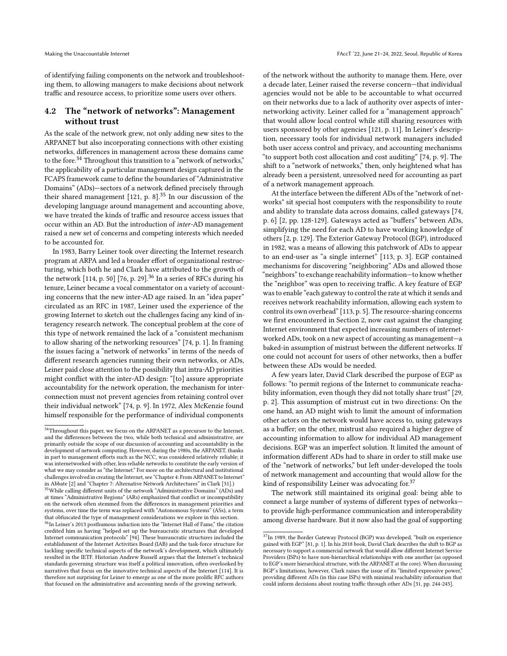Making the Unaccountable Internet FACCT '22, June 21-24, 2022, Seoul, Republic of Korea

of identifying failing components on the network and troubleshooting them, to allowing managers to make decisions about network traffic and resource access, to prioritize some users over others.

# 4.2 The "network of networks": Management without trust

As the scale of the network grew, not only adding new sites to the ARPANET but also incorporating connections with other existing networks, differences in management across these domains came to the fore.<sup>[34](#page-8-0)</sup> Throughout this transition to a "network of networks," the applicability of a particular management design captured in the FCAPS framework came to define the boundaries of "Administrative Domains" (ADs)—sectors of a network defined precisely through their shared management  $[121, p. 8]$  $[121, p. 8]$ .<sup>[35](#page-8-1)</sup> In our discussion of the developing language around management and accounting above, we have treated the kinds of traffic and resource access issues that occur within an AD. But the introduction of inter-AD management raised a new set of concerns and competing interests which needed to be accounted for.

In 1983, Barry Leiner took over directing the Internet research program at ARPA and led a broader effort of organizational restructuring, which both he and Clark have attributed to the growth of the network  $[114, p. 50]$  $[114, p. 50]$   $[76, p. 29]$  $[76, p. 29]$ .<sup>[36](#page-8-2)</sup> In a series of RFCs during his tenure, Leiner became a vocal commentator on a variety of accounting concerns that the new inter-AD age raised. In an "idea paper" circulated as an RFC in 1987, Leiner used the experience of the growing Internet to sketch out the challenges facing any kind of interagency research network. The conceptual problem at the core of this type of network remained the lack of a "consistent mechanism to allow sharing of the networking resources" [\[74,](#page-13-44) p. 1]. In framing the issues facing a "network of networks" in terms of the needs of different research agencies running their own networks, or ADs, Leiner paid close attention to the possibility that intra-AD priorities might conflict with the inter-AD design: "[to] assure appropriate accountability for the network operation, the mechanism for interconnection must not prevent agencies from retaining control over their individual network" [\[74,](#page-13-44) p. 9]. In 1972, Alex McKenzie found himself responsible for the performance of individual components

of the network without the authority to manage them. Here, over a decade later, Leiner raised the reverse concern—that individual agencies would not be able to be accountable to what occurred on their networks due to a lack of authority over aspects of internetworking activity. Leiner called for a "management approach" that would allow local control while still sharing resources with users sponsored by other agencies [\[121,](#page-14-15) p. 11]. In Leiner's description, necessary tools for individual network managers included both user access control and privacy, and accounting mechanisms "to support both cost allocation and cost auditing" [\[74,](#page-13-44) p. 9]. The shift to a "network of networks," then, only heightened what has already been a persistent, unresolved need for accounting as part of a network management approach.

At the interface between the different ADs of the "network of networks" sit special host computers with the responsibility to route and ability to translate data across domains, called gateways [\[74,](#page-13-44) p. 6] [\[2,](#page-12-6) pp. 128-129]. Gateways acted as "buffers" between ADs, simplifying the need for each AD to have working knowledge of others [\[2,](#page-12-6) p. 129]. The Exterior Gateway Protocol (EGP), introduced in 1982, was a means of allowing this patchwork of ADs to appear to an end-user as "a single internet" [\[113,](#page-14-16) p. 3]. EGP contained mechanisms for discovering "neighboring" ADs and allowed those "neighbors" to exchange reachability information—to know whether the "neighbor" was open to receiving traffic. A key feature of EGP was to enable "each gateway to control the rate at which it sends and receives network reachability information, allowing each system to control its own overhead" [\[113,](#page-14-16) p. 5]. The resource-sharing concerns we first encountered in Section [2,](#page-2-4) now cast against the changing Internet environment that expected increasing numbers of internetworked ADs, took on a new aspect of accounting as management—a baked-in assumption of mistrust between the different networks. If one could not account for users of other networks, then a buffer between these ADs would be needed.

A few years later, David Clark described the purpose of EGP as follows: "to permit regions of the Internet to communicate reachability information, even though they did not totally share trust" [\[29,](#page-12-39) p. 2]. This assumption of mistrust cut in two directions: On the one hand, an AD might wish to limit the amount of information other actors on the network would have access to, using gateways as a buffer; on the other, mistrust also required a higher degree of accounting information to allow for individual AD management decisions. EGP was an imperfect solution. It limited the amount of information different ADs had to share in order to still make use of the "network of networks," but left under-developed the tools of network management and accounting that would allow for the kind of responsibility Leiner was advocating for. $37$ 

The network still maintained its original goal: being able to connect a large number of systems of different types of networks to provide high-performance communication and interoperability among diverse hardware. But it now also had the goal of supporting

<span id="page-8-0"></span> $\rm{^{34}Throught}$  this paper, we focus on the ARPANET as a precursor to the Internet, and the differences between the two, while both technical and administrative, are primarily outside the scope of our discussion of accounting and accountability in the development of network computing. However, during the 1980s, the ARPANET, thanks in part to management efforts such as the NCC, was considered relatively reliable; it was internetworked with other, less reliable networks to constitute the early version of what we may consider as "the Internet." For more on the architectural and institutional challenges involved in creating the Internet, see "Chapter 4: From ARPANET to Internet" in Abbate [\[2\]](#page-12-6) and "Chapter 7: Alternative Network Architectures" in Clark [\[31\]](#page-12-5).)

<span id="page-8-1"></span><sup>&</sup>lt;sup>35</sup>While calling different units of the network "Administrative Domains" (ADs) and at times "Administrative Regions" (ARs) emphasized that conflict or incompatibility on the network often stemmed from the differences in management priorities and systems, over time the term was replaced with "Autonomous Systems" (ASs), a term that obfuscated the type of management considerations we explore in this section.

<span id="page-8-2"></span><sup>&</sup>lt;sup>36</sup>In Leiner's 2013 posthumous induction into the "Internet Hall of Fame," the citation credited him as having "helped set up the bureaucratic structures that developed Internet communication protocols" [\[94\]](#page-13-46). These bureaucratic structures included the establishment of the Internet Activities Board (IAB) and the task-force structure for tackling specific technical aspects of the network's development, which ultimately resulted in the IETF. Historian Andrew Russell argues that the Internet's technical standards governing structure was itself a political innovation, often overlooked by narratives that focus on the innovative technical aspects of the Internet [\[114\]](#page-14-7). It is therefore not surprising for Leiner to emerge as one of the more prolific RFC authors that focused on the administrative and accounting needs of the growing network.

<span id="page-8-3"></span> $\rm ^{37}In$  1989, the Border Gateway Protocol (BGP) was developed, "built on experience gained with EGP" [\[81,](#page-13-47) p. 1]. In his 2018 book, David Clark describes the shift to BGP as necessary to support a commercial network that would allow different Internet Service Providers (ISPs) to have non-hierarchical relationships with one another (as opposed to EGP's more hierarchical structure, with the ARPANET at the core). When discussing BGP's limitations, however, Clark raises the issue of its "limited expressive power," providing different ADs (in this case ISPs) with minimal reachability information that could inform decisions about routing traffic through other ADs [\[31,](#page-12-5) pp. 244-245].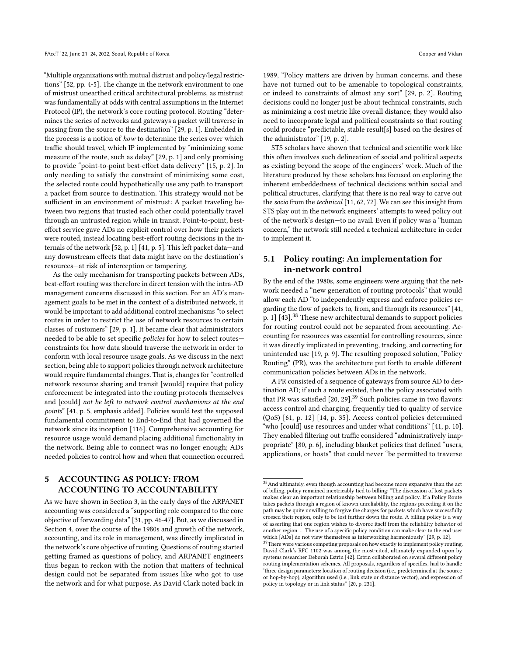"Multiple organizations with mutual distrust and policy/legal restrictions" [\[52,](#page-12-40) pp. 4-5]. The change in the network environment to one of mistrust unearthed critical architectural problems, as mistrust was fundamentally at odds with central assumptions in the Internet Protocol (IP), the network's core routing protocol. Routing "determines the series of networks and gateways a packet will traverse in passing from the source to the destination" [\[29,](#page-12-39) p. 1]. Embedded in the process is a notion of how to determine the series over which traffic should travel, which IP implemented by "minimizing some measure of the route, such as delay" [\[29,](#page-12-39) p. 1] and only promising to provide "point-to-point best-effort data delivery" [\[15,](#page-12-41) p. 2]. In only needing to satisfy the constraint of minimizing some cost, the selected route could hypothetically use any path to transport a packet from source to destination. This strategy would not be sufficient in an environment of mistrust: A packet traveling between two regions that trusted each other could potentially travel through an untrusted region while in transit. Point-to-point, besteffort service gave ADs no explicit control over how their packets were routed, instead locating best-effort routing decisions in the internals of the network [\[52,](#page-12-40) p. 1] [\[41,](#page-12-42) p. 5]. This left packet data—and any downstream effects that data might have on the destination's resources—at risk of interception or tampering.

As the only mechanism for transporting packets between ADs, best-effort routing was therefore in direct tension with the intra-AD management concerns discussed in this section. For an AD's management goals to be met in the context of a distributed network, it would be important to add additional control mechanisms "to select routes in order to restrict the use of network resources to certain classes of customers" [\[29,](#page-12-39) p. 1]. It became clear that administrators needed to be able to set specific policies for how to select routes constraints for how data should traverse the network in order to conform with local resource usage goals. As we discuss in the next section, being able to support policies through network architecture would require fundamental changes. That is, changes for "controlled network resource sharing and transit [would] require that policy enforcement be integrated into the routing protocols themselves and [could] not be left to network control mechanisms at the end points" [\[41,](#page-12-42) p. 5, emphasis added]. Policies would test the supposed fundamental commitment to End-to-End that had governed the network since its inception [\[116\]](#page-14-6). Comprehensive accounting for resource usage would demand placing additional functionality in the network. Being able to connect was no longer enough; ADs needed policies to control how and when that connection occurred.

# <span id="page-9-0"></span>5 ACCOUNTING AS POLICY: FROM ACCOUNTING TO ACCOUNTABILITY

As we have shown in Section [3,](#page-4-0) in the early days of the ARPANET accounting was considered a "supporting role compared to the core objective of forwarding data" [\[31,](#page-12-5) pp. 46-47]. But, as we discussed in Section [4,](#page-6-0) over the course of the 1980s and growth of the network, accounting, and its role in management, was directly implicated in the network's core objective of routing. Questions of routing started getting framed as questions of policy, and ARPANET engineers thus began to reckon with the notion that matters of technical design could not be separated from issues like who got to use the network and for what purpose. As David Clark noted back in

1989, "Policy matters are driven by human concerns, and these have not turned out to be amenable to topological constraints, or indeed to constraints of almost any sort" [\[29,](#page-12-39) p. 2]. Routing decisions could no longer just be about technical constraints, such as minimizing a cost metric like overall distance; they would also need to incorporate legal and political constraints so that routing could produce "predictable, stable result[s] based on the desires of the administrator" [\[19,](#page-12-43) p. 2].

STS scholars have shown that technical and scientific work like this often involves such delineation of social and political aspects as existing beyond the scope of the engineers' work. Much of the literature produced by these scholars has focused on exploring the inherent embeddedness of technical decisions within social and political structures, clarifying that there is no real way to carve out the socio from the technical [\[11,](#page-12-44) [62,](#page-13-48) [72\]](#page-13-49). We can see this insight from STS play out in the network engineers' attempts to weed policy out of the network's design—to no avail. Even if policy was a "human concern," the network still needed a technical architecture in order to implement it.

# 5.1 Policy routing: An implementation for in-network control

By the end of the 1980s, some engineers were arguing that the network needed a "new generation of routing protocols" that would allow each AD "to independently express and enforce policies regarding the flow of packets to, from, and through its resources" [\[41,](#page-12-42) p. 1] [\[43\]](#page-12-45).<sup>[38](#page-9-1)</sup> These new architectural demands to support policies for routing control could not be separated from accounting. Accounting for resources was essential for controlling resources, since it was directly implicated in preventing, tracking, and correcting for unintended use [\[19,](#page-12-43) p. 9]. The resulting proposed solution, "Policy Routing" (PR), was the architecture put forth to enable different communication policies between ADs in the network.

A PR consisted of a sequence of gateways from source AD to destination AD; if such a route existed, then the policy associated with that PR was satisfied  $[20, 29]$  $[20, 29]$  $[20, 29]$ .<sup>[39](#page-9-2)</sup> Such policies came in two flavors: access control and charging, frequently tied to quality of service (QoS) [\[61,](#page-13-50) p. 12] [\[14,](#page-12-47) p. 35]. Access control policies determined "who [could] use resources and under what conditions" [\[41,](#page-12-42) p. 10]. They enabled filtering out traffic considered "administratively inappropriate" [\[80,](#page-13-51) p. 6], including blanket policies that defined "users, applications, or hosts" that could never "be permitted to traverse

<span id="page-9-1"></span> $^{38}\mbox{And ultimately, even though accounting had become more expensive than the act}$ of billing, policy remained inextricably tied to billing: "The discussion of lost packets makes clear an important relationship between billing and policy. If a Policy Route takes packets through a region of known unreliability, the regions preceding it on the path may be quite unwilling to forgive the charges for packets which have successfully crossed their region, only to be lost further down the route. A billing policy is a way of asserting that one region wishes to divorce itself from the reliability behavior of another region. ... The use of a specific policy condition can make clear to the end user which [ADs] do not view themselves as interworking harmoniously" [\[29,](#page-12-39) p. 12].

<span id="page-9-2"></span><sup>&</sup>lt;sup>39</sup>There were various competing proposals on how exactly to implement policy routing. David Clark's RFC 1102 was among the most-cited, ultimately expanded upon by systems researcher Deborah Estrin [\[42\]](#page-12-48). Estrin collaborated on several different policy routing implementation schemes. All proposals, regardless of specifics, had to handle "three design parameters: location of routing decision (i.e., predetermined at the source or hop-by-hop), algorithm used (i.e., link state or distance vector), and expression of policy in topology or in link status" [\[20,](#page-12-46) p. 231].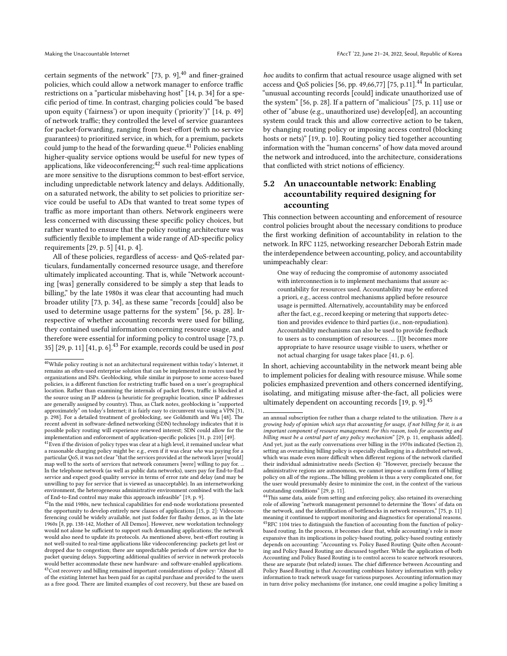certain segments of the network"  $[73, p. 9]$  $[73, p. 9]$ ,  $^{40}$  $^{40}$  $^{40}$  and finer-grained policies, which could allow a network manager to enforce traffic restrictions on a "particular misbehaving host" [\[14,](#page-12-47) p. 34] for a specific period of time. In contrast, charging policies could "be based upon equity ('fairness') or upon inequity ('priority')" [\[14,](#page-12-47) p. 49] of network traffic; they controlled the level of service guarantees for packet-forwarding, ranging from best-effort (with no service guarantees) to prioritized service, in which, for a premium, packets could jump to the head of the forwarding queue.<sup>[41](#page-10-1)</sup> Policies enabling higher-quality service options would be useful for new types of applications, like videoconferencing; $42$  such real-time applications are more sensitive to the disruptions common to best-effort service, including unpredictable network latency and delays. Additionally, on a saturated network, the ability to set policies to prioritize service could be useful to ADs that wanted to treat some types of traffic as more important than others. Network engineers were less concerned with discussing these specific policy choices, but rather wanted to ensure that the policy routing architecture was sufficiently flexible to implement a wide range of AD-specific policy requirements [\[29,](#page-12-39) p. 5] [\[41,](#page-12-42) p. 4].

All of these policies, regardless of access- and QoS-related particulars, fundamentally concerned resource usage, and therefore ultimately implicated accounting. That is, while "Network accounting [was] generally considered to be simply a step that leads to billing," by the late 1980s it was clear that accounting had much broader utility [\[73,](#page-13-52) p. 34], as these same "records [could] also be used to determine usage patterns for the system" [\[56,](#page-13-53) p. 28]. Irrespective of whether accounting records were used for billing, they contained useful information concerning resource usage, and therefore were essential for informing policy to control usage [\[73,](#page-13-52) p. 35]  $[29, p. 11]$  $[29, p. 11]$   $[41, p. 6]$  $[41, p. 6]$ .<sup>[43](#page-10-3)</sup> For example, records could be used in *post* 

hoc audits to confirm that actual resource usage aligned with set access and QoS policies [\[56,](#page-13-53) pp. 49,66,77] [\[75,](#page-13-41) p.11].<sup>[44](#page-10-4)</sup> In particular, "unusual accounting records [could] indicate unauthorized use of the system" [\[56,](#page-13-53) p. 28]. If a pattern of "malicious" [\[75,](#page-13-41) p. 11] use or other of "abuse (e.g., unauthorized use) develop[ed], an accounting system could track this and allow corrective action to be taken, by changing routing policy or imposing access control (blocking hosts or nets)" [\[19,](#page-12-43) p. 10]. Routing policy tied together accounting information with the "human concerns" of how data moved around the network and introduced, into the architecture, considerations that conflicted with strict notions of efficiency.

# 5.2 An unaccountable network: Enabling accountability required designing for accounting

This connection between accounting and enforcement of resource control policies brought about the necessary conditions to produce the first working definition of accountability in relation to the network. In RFC 1125, networking researcher Deborah Estrin made the interdependence between accounting, policy, and accountability unimpeachably clear:

One way of reducing the compromise of autonomy associated with interconnection is to implement mechanisms that assure accountability for resources used. Accountability may be enforced a priori, e.g., access control mechanisms applied before resource usage is permitted. Alternatively, accountability may be enforced after the fact, e.g., record keeping or metering that supports detection and provides evidence to third parties (i.e., non-repudiation). Accountability mechanisms can also be used to provide feedback to users as to consumption of resources. ... [I]t becomes more appropriate to have resource usage visible to users, whether or not actual charging for usage takes place [\[41,](#page-12-42) p. 6].

In short, achieving accountability in the network meant being able to implement policies for dealing with resource misuse. While some policies emphasized prevention and others concerned identifying, isolating, and mitigating misuse after-the-fact, all policies were ultimately dependent on accounting records [\[19,](#page-12-43) p. 9].[45](#page-10-5)

<span id="page-10-0"></span> $\overline{{}^{40}\text{While policy routing is not an architectural requirement within today's Internet, it}$ remains an often-used enterprise solution that can be implemented in routers used by organizations and ISPs. Geoblocking, while similar in purpose to some access-based policies, is a different function for restricting traffic based on a user's geographical location. Rather than examining the internals of packet flows, traffic is blocked at the source using an IP address (a heuristic for geographic location, since IP addresses are generally assigned by country). Thus, as Clark notes, geoblocking is "supported approximately" on today's Internet; it is fairly easy to circumvent via using a VPN [\[31,](#page-12-5) p. 298]. For a detailed treatment of geoblocking, see Goldsmith and Wu [\[48\]](#page-12-49). The recent advent in software-defined networking (SDN) technology indicates that it is possible policy routing will experience renewed interest; SDN could allow for the implementation and enforcement of application-specific policies [\[31,](#page-12-5) p. 210] [\[49\]](#page-12-50).

<span id="page-10-1"></span><sup>&</sup>lt;sup>41</sup> Even if the division of policy types was clear at a high level, it remained unclear what a reasonable charging policy might be: e.g., even if it was clear who was paying for a particular QoS, it was not clear "that the services provided at the network layer [would] map well to the sorts of services that network consumers [were] willing to pay for. ... In the telephone network (as well as public data networks), users pay for End-to-End service and expect good quality service in terms of error rate and delay (and may be unwilling to pay for service that is viewed as unacceptable). In an internetworking environment, the heterogeneous administrative environment combined with the lack of End-to-End control may make this approach infeasible" [\[19,](#page-12-43) p. 9].

<span id="page-10-3"></span><span id="page-10-2"></span> $^{42}{\rm In}$  the mid 1980s, new technical capabilities for end-node workstations presented the opportunity to develop entirely new classes of applications [\[15,](#page-12-41) p. 2]: Videoconferencing could be widely available, not just fodder for flashy demos, as in the late 1960s [\[8,](#page-12-51) pp. 138-142, Mother of All Demos]. However, new workstation technology would not alone be sufficient to support such demanding applications; the network would also need to update its protocols. As mentioned above, best-effort routing is not well-suited to real-time applications like videoconferencing: packets get lost or dropped due to congestion; there are unpredictable periods of slow service due to packet queuing delays. Supporting additional qualities of service in network protocols would better accommodate these new hardware- and software-enabled applications. <sup>43</sup>Cost recovery and billing remained important considerations of policy: "Almost all of the existing Internet has been paid for as capital purchase and provided to the users as a free good. There are limited examples of cost recovery, but these are based on

an annual subscription fee rather than a charge related to the utilization. There is a growing body of opinion which says that accounting for usage, if not billing for it, is an important component of resource management. For this reason, tools for accounting and billing must be a central part of any policy mechanism" [\[29,](#page-12-39) p. 11, emphasis added]. And yet, just as the early conversations over billing in the 1970s indicated (Section [2\)](#page-2-4), setting an overarching billing policy is especially challenging in a distributed network, which was made even more difficult when different regions of the network clarified their individual administrative needs (Section [4\)](#page-6-0): "However, precisely because the administrative regions are autonomous, we cannot impose a uniform form of billing policy on all of the regions...The billing problem is thus a very complicated one, for the user would presumably desire to minimize the cost, in the context of the various outstanding conditions" [\[29,](#page-12-39) p. 11].

<span id="page-10-5"></span><span id="page-10-4"></span><sup>44</sup>This same data, aside from setting and enforcing policy, also retained its overarching role of allowing "network management personnel to determine the 'flows' of data on the network, and the identification of bottlenecks in network resources," [\[75,](#page-13-41) p. 11] meaning it continued to support monitoring and diagnostics for operational reasons. <sup>45</sup>RFC 1104 tries to distinguish the function of accounting from the function of policybased routing. In the process, it becomes clear that, while accounting's role is more expansive than its implications in policy-based routing, policy-based routing entirely depends on accounting: "Accounting vs. Policy Based Routing: Quite often Accounting and Policy Based Routing are discussed together. While the application of both Accounting and Policy Based Routing is to control access to scarce network resources, these are separate (but related) issues. The chief difference between Accounting and Policy Based Routing is that Accounting combines history information with policy information to track network usage for various purposes. Accounting information may in turn drive policy mechanisms (for instance, one could imagine a policy limiting a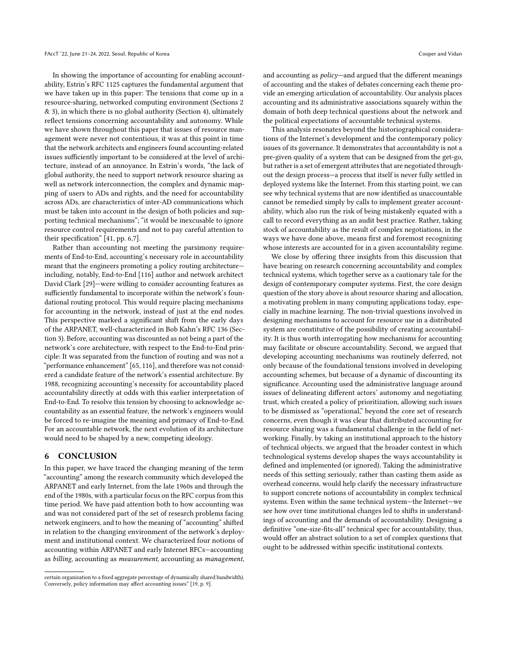In showing the importance of accounting for enabling accountability, Estrin's RFC 1125 captures the fundamental argument that we have taken up in this paper: The tensions that come up in a resource-sharing, networked computing environment (Sections [2](#page-2-4) & [3\)](#page-4-0), in which there is no global authority (Section [4\)](#page-6-0), ultimately reflect tensions concerning accountability and autonomy. While we have shown throughout this paper that issues of resource management were never not contentious, it was at this point in time that the network architects and engineers found accounting-related issues sufficiently important to be considered at the level of architecture, instead of an annoyance. In Estrin's words, "the lack of global authority, the need to support network resource sharing as well as network interconnection, the complex and dynamic mapping of users to ADs and rights, and the need for accountability across ADs, are characteristics of inter-AD communications which must be taken into account in the design of both policies and supporting technical mechanisms"; "it would be inexcusable to ignore resource control requirements and not to pay careful attention to their specification" [\[41,](#page-12-42) pp. 6,7].

Rather than accounting not meeting the parsimony requirements of End-to-End, accounting's necessary role in accountability meant that the engineers promoting a policy routing architecture including, notably, End-to-End [\[116\]](#page-14-6) author and network architect David Clark [\[29\]](#page-12-39)—were willing to consider accounting features as sufficiently fundamental to incorporate within the network's foundational routing protocol. This would require placing mechanisms for accounting in the network, instead of just at the end nodes. This perspective marked a significant shift from the early days of the ARPANET, well-characterized in Bob Kahn's RFC 136 (Section [3\)](#page-4-0). Before, accounting was discounted as not being a part of the network's core architecture, with respect to the End-to-End principle: It was separated from the function of routing and was not a "performance enhancement" [\[65,](#page-13-38) [116\]](#page-14-6), and therefore was not considered a candidate feature of the network's essential architecture. By 1988, recognizing accounting's necessity for accountability placed accountability directly at odds with this earlier interpretation of End-to-End. To resolve this tension by choosing to acknowledge accountability as an essential feature, the network's engineers would be forced to re-imagine the meaning and primacy of End-to-End. For an accountable network, the next evolution of its architecture would need to be shaped by a new, competing ideology.

#### 6 CONCLUSION

In this paper, we have traced the changing meaning of the term "accounting" among the research community which developed the ARPANET and early Internet, from the late 1960s and through the end of the 1980s, with a particular focus on the RFC corpus from this time period. We have paid attention both to how accounting was and was not considered part of the set of research problems facing network engineers, and to how the meaning of "accounting" shifted in relation to the changing environment of the network's deployment and institutional context. We characterized four notions of accounting within ARPANET and early Internet RFCs—accounting as billing, accounting as measurement, accounting as management, and accounting as policy—and argued that the different meanings of accounting and the stakes of debates concerning each theme provide an emerging articulation of accountability. Our analysis places accounting and its administrative associations squarely within the domain of both deep technical questions about the network and the political expectations of accountable technical systems.

This analysis resonates beyond the historiographical considerations of the Internet's development and the contemporary policy issues of its governance. It demonstrates that accountability is not a pre-given quality of a system that can be designed from the get-go, but rather is a set of emergent attributes that are negotiated throughout the design process—a process that itself is never fully settled in deployed systems like the Internet. From this starting point, we can see why technical systems that are now identified as unaccountable cannot be remedied simply by calls to implement greater accountability, which also run the risk of being mistakenly equated with a call to record everything as an audit best practice. Rather, taking stock of accountability as the result of complex negotiations, in the ways we have done above, means first and foremost recognizing whose interests are accounted for in a given accountability regime.

We close by offering three insights from this discussion that have bearing on research concerning accountability and complex technical systems, which together serve as a cautionary tale for the design of contemporary computer systems. First, the core design question of the story above is about resource sharing and allocation, a motivating problem in many computing applications today, especially in machine learning. The non-trivial questions involved in designing mechanisms to account for resource use in a distributed system are constitutive of the possibility of creating accountability. It is thus worth interrogating how mechanisms for accounting may facilitate or obscure accountability. Second, we argued that developing accounting mechanisms was routinely deferred, not only because of the foundational tensions involved in developing accounting schemes, but because of a dynamic of discounting its significance. Accounting used the administrative language around issues of delineating different actors' autonomy and negotiating trust, which created a policy of prioritization, allowing such issues to be dismissed as "operational," beyond the core set of research concerns, even though it was clear that distributed accounting for resource sharing was a fundamental challenge in the field of networking. Finally, by taking an institutional approach to the history of technical objects, we argued that the broader context in which technological systems develop shapes the ways accountability is defined and implemented (or ignored). Taking the administrative needs of this setting seriously, rather than casting them aside as overhead concerns, would help clarify the necessary infrastructure to support concrete notions of accountability in complex technical systems. Even within the same technical system—the Internet—we see how over time institutional changes led to shifts in understandings of accounting and the demands of accountability. Designing a definitive "one-size-fits-all" technical spec for accountability, thus, would offer an abstract solution to a set of complex questions that ought to be addressed within specific institutional contexts.

certain organization to a fixed aggregate percentage of dynamically shared bandwidth). Conversely, policy information may affect accounting issues" [\[19,](#page-12-43) p. 9].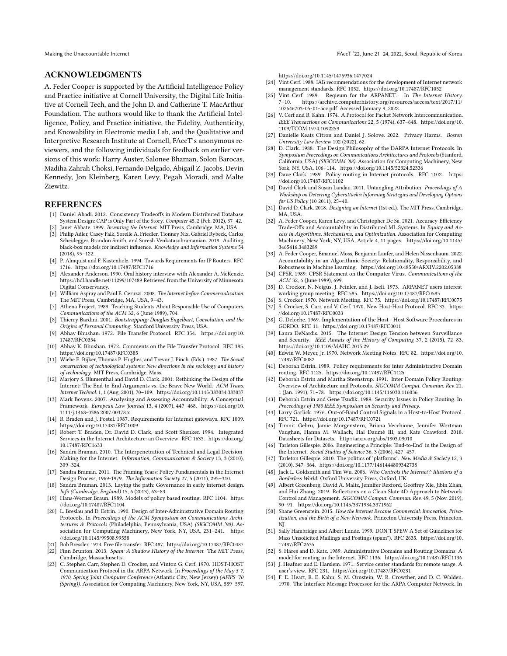Making the Unaccountable Internet FACCT '22, June 21-24, 2022, Seoul, Republic of Korea

#### ACKNOWLEDGMENTS

A. Feder Cooper is supported by the Artificial Intelligence Policy and Practice initiative at Cornell University, the Digital Life Initiative at Cornell Tech, and the John D. and Catherine T. MacArthur Foundation. The authors would like to thank the Artificial Intelligence, Policy, and Practice initiative, the Fidelity, Authenticity, and Knowability in Electronic media Lab, and the Qualitative and Interpretive Research Institute at Cornell, FAccT's anonymous reviewers, and the following individuals for feedback on earlier versions of this work: Harry Auster, Salonee Bhaman, Solon Barocas, Madiha Zahrah Choksi, Fernando Delgado, Abigail Z. Jacobs, Devin Kennedy, Jon Kleinberg, Karen Levy, Pegah Moradi, and Malte Ziewitz.

## REFERENCES

- <span id="page-12-33"></span>[1] Daniel Abadi. 2012. Consistency Tradeoffs in Modern Distributed Database System Design: CAP is Only Part of the Story. Computer 45, 2 (Feb. 2012), 37–42. Janet Abbate. 1999. Inventing the Internet. MIT Press, Cambridge, MA, USA.
- <span id="page-12-6"></span><span id="page-12-3"></span>[3] Philip Adler, Casey Falk, Sorelle A. Friedler, Tionney Nix, Gabriel Rybeck, Carlos Scheidegger, Brandon Smith, and Suresh Venkatasubramanian. 2018. Auditing black-box models for indirect influence. Knowledge and Information Systems 54 (2018), 95–122.
- <span id="page-12-36"></span>[4] P. Almquist and F. Kastenholz. 1994. Towards Requirements for IP Routers. RFC 1716.<https://doi.org/10.17487/RFC1716>
- <span id="page-12-37"></span>[5] Alexander Anderson. 1990. Oral history interview with Alexander A. McKenzie. <https://hdl.handle.net/11299/107489> Retrieved from the University of Minnesota Digital Conservancy.
- <span id="page-12-30"></span>[6] William Aspray and Paul E. Ceruzzi. 2008. The Internet before Commercialization. The MIT Press, Cambridge, MA, USA, 9–43.
- <span id="page-12-18"></span>[7] Athena Project. 1989. Teaching Students About Responsible Use of Computers. Communications of the ACM 32, 6 (June 1989), 704.
- <span id="page-12-51"></span>[8] Thierry Bardini. 2001. Bootstrapping: Douglas Engelbart, Coevolution, and the Origins of Personal Computing. Stanford University Press, USA.
- <span id="page-12-31"></span>[9] Abhay Bhushan. 1972. File Transfer Protocol. RFC 354. [https://doi.org/10.](https://doi.org/10.17487/RFC0354) [17487/RFC0354](https://doi.org/10.17487/RFC0354)
- <span id="page-12-34"></span>[10] Abhay K. Bhushan. 1972. Comments on the File Transfer Protocol. RFC 385. <https://doi.org/10.17487/RFC0385>
- <span id="page-12-44"></span>[11] Wiebe E. Bijker, Thomas P. Hughes, and Trevor J. Pinch. (Eds.). 1987. The Social construction of technological systems: New directions in the sociology and history of technology. MIT Press, Cambridge, Mass.
- <span id="page-12-11"></span>[12] Marjory S. Blumenthal and David D. Clark. 2001. Rethinking the Design of the Internet: The End-to-End Arguments vs. the Brave New World. ACM Trans. Internet Technol. 1, 1 (Aug. 2001), 70–109.<https://doi.org/10.1145/383034.383037>
- <span id="page-12-1"></span>[13] Mark Bovens. 2007. Analysing and Assessing Accountability: A Conceptual Framework. European Law Journal 13, 4 (2007), 447–468. [https://doi.org/10.](https://doi.org/10.1111/j.1468-0386.2007.00378.x) [1111/j.1468-0386.2007.00378.x](https://doi.org/10.1111/j.1468-0386.2007.00378.x)
- <span id="page-12-47"></span>[14] R. Braden and J. Postel. 1987. Requirements for Internet gateways. RFC 1009. <https://doi.org/10.17487/RFC1009>
- <span id="page-12-41"></span>[15] Robert T. Braden, Dr. David D. Clark, and Scott Shenker. 1994. Integrated Services in the Internet Architecture: an Overview. RFC 1633. [https://doi.org/](https://doi.org/10.17487/RFC1633) [10.17487/RFC1633](https://doi.org/10.17487/RFC1633)
- <span id="page-12-22"></span>[16] Sandra Braman. 2010. The Interpenetration of Technical and Legal Decision-Making for the Internet. Information, Communication & Society 13, 3 (2010), 309–324.
- <span id="page-12-10"></span>[17] Sandra Braman. 2011. The Framing Years: Policy Fundamentals in the Internet Design Process, 1969-1979. The Information Society 27, 5 (2011), 295–310.
- <span id="page-12-7"></span>[18] Sandra Braman. 2013. Laying the path: Governance in early internet design. Info (Cambridge, England) 15, 6 (2013), 63–83.
- <span id="page-12-43"></span>[19] Hans-Werner Braun. 1989. Models of policy based routing. RFC 1104. [https:](https://doi.org/10.17487/RFC1104) [//doi.org/10.17487/RFC1104](https://doi.org/10.17487/RFC1104)
- <span id="page-12-46"></span>[20] L. Breslau and D. Estrin. 1990. Design of Inter-Administrative Domain Routing Protocols. In Proceedings of the ACM Symposium on Communications Architectures & Protocols (Philadelphia, Pennsylvania, USA) (SIGCOMM '90). Association for Computing Machinery, New York, NY, USA, 231–241. [https:](https://doi.org/10.1145/99508.99558) [//doi.org/10.1145/99508.99558](https://doi.org/10.1145/99508.99558)
- <span id="page-12-53"></span><span id="page-12-32"></span>[21] Bob Bressler. 1973. Free file transfer. RFC 487.<https://doi.org/10.17487/RFC0487> [22] Finn Brunton. 2013. Spam: A Shadow History of the Internet. The MIT Press,
- Cambridge, Massachusetts.
- <span id="page-12-26"></span>[23] C. Stephen Carr, Stephen D. Crocker, and Vinton G. Cerf. 1970. HOST-HOST Communication Protocol in the ARPA Network. In Proceedings of the May 5-7, 1970, Spring Joint Computer Conference (Atlantic City, New Jersey) (AFIPS '70 (Spring)). Association for Computing Machinery, New York, NY, USA, 589–597.

<https://doi.org/10.1145/1476936.1477024>

- <span id="page-12-38"></span>[24] Vint Cerf. 1988. IAB recommendations for the development of Internet network management standards. RFC 1052.<https://doi.org/10.17487/RFC1052>
- <span id="page-12-24"></span>[25] Vint Cerf. 1989. Reqieum for the ARPANET. In The Internet History. 7–10. [https://archive.computerhistory.org/resources/access/text/2017/11/](https://archive.computerhistory.org/resources/access/text/2017/11/102646703-05-01-acc.pdf) [102646703-05-01-acc.pdf](https://archive.computerhistory.org/resources/access/text/2017/11/102646703-05-01-acc.pdf) Accessed January 9, 2022.
- <span id="page-12-17"></span>[26] V. Cerf and R. Kahn. 1974. A Protocol for Packet Network Intercommunication. IEEE Transactions on Communications 22, 5 (1974), 637–648. [https://doi.org/10.](https://doi.org/10.1109/TCOM.1974.1092259) [1109/TCOM.1974.1092259](https://doi.org/10.1109/TCOM.1974.1092259)
- <span id="page-12-14"></span>[27] Danielle Keats Citron and Daniel J. Solove. 2022. Privacy Harms. Boston University Law Review 102 (2022), 62.
- <span id="page-12-16"></span>[28] D. Clark. 1988. The Design Philosophy of the DARPA Internet Protocols. In Symposium Proceedings on Communications Architectures and Protocols (Stanford, California, USA) (SIGCOMM '88). Association for Computing Machinery, New York, NY, USA, 106–114.<https://doi.org/10.1145/52324.52336>
- <span id="page-12-39"></span>[29] Dave Clark. 1989. Policy routing in Internet protocols. RFC 1102. [https:](https://doi.org/10.17487/RFC1102) [//doi.org/10.17487/RFC1102](https://doi.org/10.17487/RFC1102)
- <span id="page-12-12"></span>[30] David Clark and Susan Landau. 2011. Untangling Attribution. Proceedings of A Workshop on Deterring Cyberattacks: Informing Strategies and Developing Options for US Policy (10 2011), 25–40.
- <span id="page-12-5"></span>[31] David D. Clark. 2018. Designing an Internet (1st ed.). The MIT Press, Cambridge, MA, USA.
- <span id="page-12-4"></span>[32] A. Feder Cooper, Karen Levy, and Christopher De Sa. 2021. Accuracy-Efficiency Trade-Offs and Accountability in Distributed ML Systems. In Equity and Access in Algorithms, Mechanisms, and Optimization. Association for Computing Machinery, New York, NY, USA, Article 4, 11 pages. [https://doi.org/10.1145/](https://doi.org/10.1145/3465416.3483289) [3465416.3483289](https://doi.org/10.1145/3465416.3483289)
- <span id="page-12-0"></span>[33] A. Feder Cooper, Emanuel Moss, Benjamin Laufer, and Helen Nissenbaum. 2022. Accountability in an Algorithmic Society: Relationality, Responsibility, and Robustness in Machine Learning.<https://doi.org/10.48550/ARXIV.2202.05338>
- <span id="page-12-19"></span>[34] CPSR. 1989. CPSR Statement on the Computer Virus. Communications of the ACM 32, 6 (June 1989), 699.
- <span id="page-12-35"></span>[35] D. Crocker, N. Neigus, J. Feinler, and J. Iseli. 1973. ARPANET users interest working group meeting. RFC 585.<https://doi.org/10.17487/RFC0585>
- <span id="page-12-28"></span><span id="page-12-20"></span>[36] S. Crocker. 1970. Network Meeting. RFC 75.<https://doi.org/10.17487/RFC0075> [37] S. Crocker, S. Carr, and V. Cerf. 1970. New Host-Host Protocol. RFC 33. [https:](https://doi.org/10.17487/RFC0033)
- <span id="page-12-23"></span>[//doi.org/10.17487/RFC0033](https://doi.org/10.17487/RFC0033) [38] G. Deloche. 1969. Implementation of the Host - Host Software Procedures in
- <span id="page-12-8"></span>GORDO. RFC 11.<https://doi.org/10.17487/RFC0011> [39] Laura DeNardis. 2015. The Internet Design Tension between Surveillance
- and Security. IEEE Annals of the History of Computing 37, 2 (2015), 72–83. <https://doi.org/10.1109/MAHC.2015.29>
- <span id="page-12-25"></span>[40] Edwin W. Meyer, Jr. 1970. Network Meeting Notes. RFC 82. [https://doi.org/10.](https://doi.org/10.17487/RFC0082) [17487/RFC0082](https://doi.org/10.17487/RFC0082)
- <span id="page-12-42"></span>[41] Deborah Estrin. 1989. Policy requirements for inter Administrative Domain routing. RFC 1125.<https://doi.org/10.17487/RFC1125>
- <span id="page-12-48"></span>[42] Deborah Estrin and Martha Steenstrup. 1991. Inter Domain Policy Routing: Overview of Architecture and Protocols. SIGCOMM Comput. Commun. Rev. 21, 1 (Jan. 1991), 71–78.<https://doi.org/10.1145/116030.116036>
- <span id="page-12-45"></span>[43] Deborah Estrin and Gene Tsudik. 1989. Security Issues in Policy Routing. In Proceedings of 1980 IEEE Symposium on Security and Privacy.
- <span id="page-12-21"></span>[44] Larry Garlick. 1976. Out-of-Band Control Signals in a Host-to-Host Protocol. RFC 721.<https://doi.org/10.17487/RFC0721>
- <span id="page-12-2"></span>[45] Timnit Gebru, Jamie Morgenstern, Briana Vecchione, Jennifer Wortman Vaughan, Hanna M. Wallach, Hal Daumé III, and Kate Crawford. 2018. Datasheets for Datasets.<http://arxiv.org/abs/1803.09010>
- <span id="page-12-13"></span>[46] Tarleton Gillespie. 2006. Engineering a Principle: 'End-to-End' in the Design of the Internet. Social Studies of Science 36, 3 (2006), 427–457.
- <span id="page-12-15"></span>[47] Tarleton Gillespie. 2010. The politics of 'platforms'. New Media & Society 12, 3 (2010), 347–364.<https://doi.org/10.1177/1461444809342738>
- <span id="page-12-49"></span>[48] Jack L. Goldsmith and Tim Wu. 2006. Who Controls the Internet?: Illusions of a Borderless World. Oxford University Press, Oxford, UK.
- <span id="page-12-50"></span>[49] Albert Greenberg, David A. Maltz, Jennifer Rexford, Geoffrey Xie, Jibin Zhan, and Hui Zhang. 2019. Reflections on a Clean Slate 4D Approach to Network Control and Management. SIGCOMM Comput. Commun. Rev. 49, 5 (Nov. 2019), 90–91.<https://doi.org/10.1145/3371934.3371962>
- <span id="page-12-9"></span>[50] Shane Greenstein. 2015. How the Internet Became Commercial: Innovation, Privatization, and the Birth of a New Network. Princeton University Press, Princeton,
- <span id="page-12-52"></span>NJ. [51] Sally Hambridge and Albert Lunde. 1999. DON'T SPEW A Set of Guidelines for Mass Unsolicited Mailings and Postings (spam\*). RFC 2635. [https://doi.org/10.](https://doi.org/10.17487/RFC2635) [17487/RFC2635](https://doi.org/10.17487/RFC2635)
- <span id="page-12-40"></span>[52] S. Hares and D. Katz. 1989. Administrative Domains and Routing Domains: A model for routing in the Internet. RFC 1136.<https://doi.org/10.17487/RFC1136>
- <span id="page-12-29"></span>[53] J. Heafner and E. Harslem. 1971. Service center standards for remote usage: A user's view. RFC 231.<https://doi.org/10.17487/RFC0231>
- <span id="page-12-27"></span>[54] F. E. Heart, R. E. Kahn, S. M. Ornstein, W. R. Crowther, and D. C. Walden. 1970. The Interface Message Processor for the ARPA Computer Network. In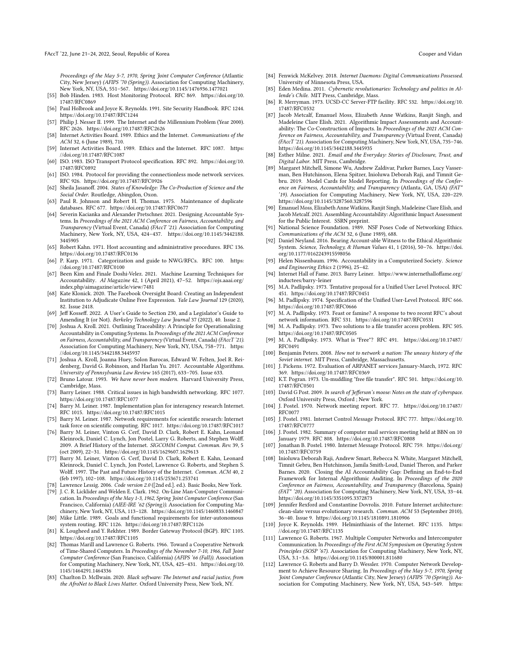- <span id="page-13-39"></span>[55] Bob Hinden. 1983. Host Monitoring Protocol. RFC 869. [https://doi.org/10.](https://doi.org/10.17487/RFC0869) [17487/RFC0869](https://doi.org/10.17487/RFC0869)
- <span id="page-13-53"></span>[56] Paul Holbrook and Joyce K. Reynolds. 1991. Site Security Handbook. RFC 1244. <https://doi.org/10.17487/RFC1244>
- <span id="page-13-57"></span>[57] Philip J. Nesser II. 1999. The Internet and the Millennium Problem (Year 2000). RFC 2626.<https://doi.org/10.17487/RFC2626>
- <span id="page-13-19"></span>[58] Internet Activities Board. 1989. Ethics and the Internet. Communications of the ACM 32, 6 (June 1989), 710.
- <span id="page-13-20"></span>[59] Internet Activities Board. 1989. Ethics and the Internet. RFC 1087. [https:](https://doi.org/10.17487/RFC1087) [//doi.org/10.17487/RFC1087](https://doi.org/10.17487/RFC1087)
- <span id="page-13-40"></span>[60] ISO. 1983. ISO Transport Protocol specification. RFC 892. [https://doi.org/10.](https://doi.org/10.17487/RFC0892) [17487/RFC0892](https://doi.org/10.17487/RFC0892)
- <span id="page-13-50"></span>[61] ISO. 1984. Protocol for providing the connectionless mode network services. RFC 926.<https://doi.org/10.17487/RFC0926>
- <span id="page-13-48"></span>[62] Sheila Jasanoff. 2004. States of Knowledge: The Co-Production of Science and the Social Order. Routledge, Abingdon, Oxon.
- <span id="page-13-34"></span>[63] Paul R. Johnson and Robert H. Thomas. 1975. Maintenance of duplicate databases. RFC 677.<https://doi.org/10.17487/RFC0677>
- <span id="page-13-1"></span>[64] Severin Kacianka and Alexander Pretschner. 2021. Designing Accountable Systems. In Proceedings of the 2021 ACM Conference on Fairness, Accountability, and Transparency (Virtual Event, Canada) (FAccT '21). Association for Computing Machinery, New York, NY, USA, 424–437. [https://doi.org/10.1145/3442188.](https://doi.org/10.1145/3442188.3445905) [3445905](https://doi.org/10.1145/3442188.3445905)
- <span id="page-13-38"></span>[65] Robert Kahn. 1971. Host accounting and administrative procedures. RFC 136. <https://doi.org/10.17487/RFC0136>
- <span id="page-13-36"></span>[66] P. Karp. 1971. Categorization and guide to NWG/RFCs. RFC 100. [https:](https://doi.org/10.17487/RFC0100) [//doi.org/10.17487/RFC0100](https://doi.org/10.17487/RFC0100)
- <span id="page-13-6"></span>[67] Been Kim and Finale Doshi-Velez. 2021. Machine Learning Techniques for Accountability. AI Magazine 42, 1 (April 2021), 47–52. [https://ojs.aaai.org/](https://ojs.aaai.org/index.php/aimagazine/article/view/7481) [index.php/aimagazine/article/view/7481](https://ojs.aaai.org/index.php/aimagazine/article/view/7481)
- <span id="page-13-16"></span>[68] Kate Klonick. 2020. The Facebook Oversight Board: Creating an Independent Institution to Adjudicate Online Free Expression. Yale Law Journal 129 (2020), 82. Issue 2418.
- <span id="page-13-17"></span>[69] Jeff Kosseff. 2022. A User's Guide to Section 230, and a Legislator's Guide to Amending It (or Not). Berkeley Technology Law Journal 37 (2022), 40. Issue 2.
- <span id="page-13-7"></span>[70] Joshua A. Kroll. 2021. Outlining Traceability: A Principle for Operationalizing Accountability in Computing Systems. In Proceedings of the 2021 ACM Conference on Fairness, Accountability, and Transparency (Virtual Event, Canada) (FAccT '21). Association for Computing Machinery, New York, NY, USA, 758–771. [https:](https://doi.org/10.1145/3442188.3445937) [//doi.org/10.1145/3442188.3445937](https://doi.org/10.1145/3442188.3445937)
- <span id="page-13-8"></span>[71] Joshua A. Kroll, Joanna Huey, Solon Barocas, Edward W. Felten, Joel R. Reidenberg, David G. Robinson, and Harlan Yu. 2017. Accountable Algorithms. University of Pennsylvania Law Review 165 (2017), 633–705. Issue 633.
- <span id="page-13-49"></span>[72] Bruno Latour. 1993. We have never been modern. Harvard University Press, Cambridge, Mass.
- <span id="page-13-52"></span>[73] Barry Leiner. 1988. Critical issues in high bandwidth networking. RFC 1077. <https://doi.org/10.17487/RFC1077>
- <span id="page-13-44"></span>[74] Barry M. Leiner. 1987. Implementation plan for interagency research Internet. RFC 1015.<https://doi.org/10.17487/RFC1015>
- <span id="page-13-41"></span>[75] Barry M. Leiner. 1987. Network requirements for scientific research: Internet task force on scientific computing. RFC 1017.<https://doi.org/10.17487/RFC1017>
- <span id="page-13-27"></span>[76] Barry M. Leiner, Vinton G. Cerf, David D. Clark, Robert E. Kahn, Leonard Kleinrock, Daniel C. Lynch, Jon Postel, Larry G. Roberts, and Stephen Wolff. 2009. A Brief History of the Internet. SIGCOMM Comput. Commun. Rev. 39, 5 (oct 2009), 22–31.<https://doi.org/10.1145/1629607.1629613>
- <span id="page-13-9"></span>[77] Barry M. Leiner, Vinton G. Cerf, David D. Clark, Robert E. Kahn, Leonard Kleinrock, Daniel C. Lynch, Jon Postel, Lawrence G. Roberts, and Stephen S. Wolff. 1997. The Past and Future History of the Internet. Commun. ACM 40, 2 (feb 1997), 102–108.<https://doi.org/10.1145/253671.253741>
- <span id="page-13-26"></span><span id="page-13-14"></span>[78] Lawrence Lessig. 2006. Code version 2.0 ([2nd ed.]. ed.). Basic Books, New York. [79] J. C. R. Licklider and Welden E. Clark. 1962. On-Line Man-Computer Communication. In Proceedings of the May 1-3, 1962, Spring Joint Computer Conference (San Francisco, California) (AIEE-IRE '62 (Spring)). Association for Computing Ma-
- <span id="page-13-51"></span>chinery, New York, NY, USA, 113–128.<https://doi.org/10.1145/1460833.1460847> [80] Mike Little. 1989. Goals and functional requirements for inter-autonomous system routing. RFC 1126.<https://doi.org/10.17487/RFC1126>
- <span id="page-13-47"></span>[81] K. Lougheed and Y. Rekhter. 1989. Border Gateway Protocol (BGP). RFC 1105. <https://doi.org/10.17487/RFC1105>
- <span id="page-13-29"></span>[82] Thomas Marill and Lawrence G. Roberts. 1966. Toward a Cooperative Network of Time-Shared Computers. In Proceedings of the November 7-10, 1966, Fall Joint Computer Conference (San Francisco, California) (AFIPS '66 (Fall)). Association for Computing Machinery, New York, NY, USA, 425–431. [https://doi.org/10.](https://doi.org/10.1145/1464291.1464336) [1145/1464291.1464336](https://doi.org/10.1145/1464291.1464336)
- <span id="page-13-11"></span>[83] Charlton D. McIlwain. 2020. Black software: The Internet and racial justice, from the AfroNet to Black Lives Matter. Oxford University Press, New York, NY.
- <span id="page-13-37"></span>[84] Fenwick McKelvey. 2018. Internet Daemons: Digital Communications Possessed. University of Minnesota Press, USA.
- <span id="page-13-12"></span>[85] Eden Medina. 2011. Cybernetic revolutionaries: Technology and politics in Allende's Chile. MIT Press, Cambridge, Mass.
- <span id="page-13-54"></span>[86] R. Merryman. 1973. UCSD-CC Server-FTP facility. RFC 532. [https://doi.org/10.](https://doi.org/10.17487/RFC0532) [17487/RFC0532](https://doi.org/10.17487/RFC0532)
- <span id="page-13-3"></span>[87] Jacob Metcalf, Emanuel Moss, Elizabeth Anne Watkins, Ranjit Singh, and Madeleine Clare Elish. 2021. Algorithmic Impact Assessments and Accountability: The Co-Construction of Impacts. In Proceedings of the 2021 ACM Conference on Fairness, Accountability, and Transparency (Virtual Event, Canada) (FAccT '21). Association for Computing Machinery, New York, NY, USA, 735–746. <https://doi.org/10.1145/3442188.3445935>
- <span id="page-13-23"></span>[88] Esther Milne. 2021. Email and the Everyday: Stories of Disclosure, Trust, and Digital Labor. MIT Press, Cambridge.
- <span id="page-13-2"></span>[89] Margaret Mitchell, Simone Wu, Andrew Zaldivar, Parker Barnes, Lucy Vasserman, Ben Hutchinson, Elena Spitzer, Inioluwa Deborah Raji, and Timnit Gebru. 2019. Model Cards for Model Reporting. In Proceedings of the Conference on Fairness, Accountability, and Transparency (Atlanta, GA, USA) (FAT\* '19). Association for Computing Machinery, New York, NY, USA, 220–229. <https://doi.org/10.1145/3287560.3287596>
- <span id="page-13-4"></span>[90] Emanuel Moss, Elizabeth Anne Watkins, Ranjit Singh, Madeleine Clare Elish, and Jacob Metcalf. 2021. Assembling Accountability: Algorithmic Impact Assessment for the Public Interest. SSRN preprint.
- <span id="page-13-21"></span>[91] National Science Foundation. 1989. NSF Poses Code of Networking Ethics. Communications of the ACM 32, 6 (June 1989), 688.
- <span id="page-13-22"></span>[92] Daniel Neyland. 2016. Bearing Account-able Witness to the Ethical Algorithmic System. Science, Technology, & Human Values 41, 1 (2016), 50–76. [https://doi.](https://doi.org/10.1177/0162243915598056) [org/10.1177/0162243915598056](https://doi.org/10.1177/0162243915598056)
- <span id="page-13-0"></span>[93] Helen Nissenbaum. 1996. Accountability in a Computerized Society. Science and Engineering Ethics 2 (1996), 25–42.
- <span id="page-13-46"></span>[94] Internet Hall of Fame. 2013. Barry Leiner. [https://www.internethalloffame.org/](https://www.internethalloffame.org/inductees/barry-leiner) [inductees/barry-leiner](https://www.internethalloffame.org/inductees/barry-leiner)
- <span id="page-13-55"></span>[95] M.A. Padlipsky. 1973. Tentative proposal for a Unified User Level Protocol. RFC
- <span id="page-13-56"></span>451.<https://doi.org/10.17487/RFC0451> [96] M. Padlipsky. 1974. Specification of the Unified User-Level Protocol. RFC 666. <https://doi.org/10.17487/RFC0666>
- <span id="page-13-32"></span>M. A. Padlipsky. 1973. Feast or famine? A response to two recent RFC's about network information. RFC 531.<https://doi.org/10.17487/RFC0531>
- <span id="page-13-42"></span>[98] M. A. Padlipsky. 1973. Two solutions to a file transfer access problem. RFC 505. <https://doi.org/10.17487/RFC0505>
- <span id="page-13-33"></span>[99] M. A. Padlipsky. 1973. What is "Free"? RFC 491. [https://doi.org/10.17487/](https://doi.org/10.17487/RFC0491) [RFC0491](https://doi.org/10.17487/RFC0491)
- <span id="page-13-13"></span>[100] Benjamin Peters. 2008. How not to network a nation: The uneasy history of the Soviet internet. MIT Press, Cambridge, Massachusetts. [101] J. Pickens. 1972. Evaluation of ARPANET services January-March, 1972. RFC
- <span id="page-13-31"></span>369.<https://doi.org/10.17487/RFC0369>
- <span id="page-13-35"></span>[102] K.T. Pogran. 1973. Un-muddling "free file transfer". RFC 501. [https://doi.org/10.](https://doi.org/10.17487/RFC0501) [17487/RFC0501](https://doi.org/10.17487/RFC0501)
- <span id="page-13-15"></span>[103] David G Post. 2009. In search of Jefferson's moose: Notes on the state of cyberspace. Oxford University Press, Oxford ; New York.
- <span id="page-13-30"></span>[104] J. Postel. 1970. Network meeting report. RFC 77. [https://doi.org/10.17487/](https://doi.org/10.17487/RFC0077) [RFC0077](https://doi.org/10.17487/RFC0077)
- <span id="page-13-45"></span>[105] J. Postel. 1981. Internet Control Message Protocol. RFC 777. [https://doi.org/10.](https://doi.org/10.17487/RFC0777) [17487/RFC0777](https://doi.org/10.17487/RFC0777)
- <span id="page-13-24"></span>[106] J. Postel. 1982. Summary of computer mail services meeting held at BBN on 10 January 1979. RFC 808.<https://doi.org/10.17487/RFC0808>
- <span id="page-13-43"></span>[107] Jonathan B. Postel. 1980. Internet Message Protocol. RFC 759. [https://doi.org/](https://doi.org/10.17487/RFC0759) [10.17487/RFC0759](https://doi.org/10.17487/RFC0759)
- <span id="page-13-5"></span>[108] Inioluwa Deborah Raji, Andrew Smart, Rebecca N. White, Margaret Mitchell, Timnit Gebru, Ben Hutchinson, Jamila Smith-Loud, Daniel Theron, and Parker Barnes. 2020. Closing the AI Accountability Gap: Defining an End-to-End Framework for Internal Algorithmic Auditing. In Proceedings of the 2020 Conference on Fairness, Accountability, and Transparency (Barcelona, Spain) (FAT\* '20). Association for Computing Machinery, New York, NY, USA, 33–44. <https://doi.org/10.1145/3351095.3372873>
- <span id="page-13-10"></span>[109] Jennifer Rexford and Constantine Dovrolis. 2010. Future Internet architecture: clean-slate versus evolutionary research. Commun. ACM 53 (September 2010), 36–40. Issue 9.<https://doi.org/10.1145/1810891.1810906>
- <span id="page-13-18"></span>[110] Joyce K. Reynolds. 1989. Helminthiasis of the Internet. RFC 1135. [https:](https://doi.org/10.17487/RFC1135) [//doi.org/10.17487/RFC1135](https://doi.org/10.17487/RFC1135)
- <span id="page-13-25"></span>[111] Lawrence G. Roberts. 1967. Multiple Computer Networks and Intercomputer Communication. In Proceedings of the First ACM Symposium on Operating System Principles (SOSP '67). Association for Computing Machinery, New York, NY, USA, 3.1–3.6.<https://doi.org/10.1145/800001.811680>
- <span id="page-13-28"></span>[112] Lawrence G. Roberts and Barry D. Wessler. 1970. Computer Network Development to Achieve Resource Sharing. In Proceedings of the May 5-7, 1970, Spring Joint Computer Conference (Atlantic City, New Jersey) (AFIPS '70 (Spring)). Association for Computing Machinery, New York, NY, USA, 543–549. [https:](https://doi.org/10.1145/1476936.1477020)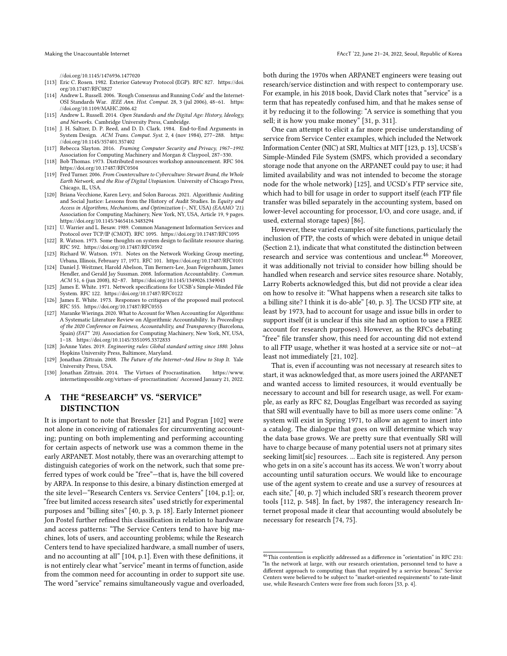[//doi.org/10.1145/1476936.1477020](https://doi.org/10.1145/1476936.1477020)

- <span id="page-14-16"></span>[113] Eric C. Rosen. 1982. Exterior Gateway Protocol (EGP). RFC 827. [https://doi.](https://doi.org/10.17487/RFC0827) [org/10.17487/RFC0827](https://doi.org/10.17487/RFC0827)
- <span id="page-14-7"></span>[114] Andrew L. Russell. 2006. 'Rough Consensus and Running Code' and the Internet-OSI Standards War. IEEE Ann. Hist. Comput. 28, 3 (jul 2006), 48–61. [https:](https://doi.org/10.1109/MAHC.2006.42) [//doi.org/10.1109/MAHC.2006.42](https://doi.org/10.1109/MAHC.2006.42)
- <span id="page-14-3"></span>[115] Andrew L. Russell. 2014. Open Standards and the Digital Age: History, Ideology, and Networks. Cambridge University Press, Cambridge.
- <span id="page-14-6"></span>[116] J. H. Saltzer, D. P. Reed, and D. D. Clark. 1984. End-to-End Arguments in System Design. ACM Trans. Comput. Syst. 2, 4 (nov 1984), 277–288. [https:](https://doi.org/10.1145/357401.357402) [//doi.org/10.1145/357401.357402](https://doi.org/10.1145/357401.357402)
- <span id="page-14-10"></span>[117] Rebecca Slayton. 2016. Framing Computer Security and Privacy, 1967–1992. Association for Computing Machinery and Morgan & Claypool, 287–330.
- <span id="page-14-12"></span>[118] Bob Thomas. 1973. Distributed resources workshop announcement. RFC 504. <https://doi.org/10.17487/RFC0504>
- <span id="page-14-5"></span>[119] Fred Turner. 2006. From Counterculture to Cyberculture: Stewart Brand, the Whole Earth Network, and the Rise of Digital Utopianism. University of Chicago Press, Chicago, IL, USA.
- <span id="page-14-1"></span>[120] Briana Vecchione, Karen Levy, and Solon Barocas. 2021. Algorithmic Auditing and Social Justice: Lessons from the History of Audit Studies. In Equity and Access in Algorithms, Mechanisms, and Optimization (–, NY, USA) (EAAMO '21). Association for Computing Machinery, New York, NY, USA, Article 19, 9 pages. <https://doi.org/10.1145/3465416.3483294>
- <span id="page-14-15"></span>[121] U. Warrier and L. Besaw. 1989. Common Management Information Services and Protocol over TCP/IP (CMOT). RFC 1095.<https://doi.org/10.17487/RFC1095>
- <span id="page-14-14"></span>[122] R. Watson. 1973. Some thoughts on system design to facilitate resource sharing. RFC 592.<https://doi.org/10.17487/RFC0592>
- <span id="page-14-11"></span>[123] Richard W. Watson. 1971. Notes on the Network Working Group meeting, Urbana, Illinois, February 17, 1971. RFC 101.<https://doi.org/10.17487/RFC0101>
- <span id="page-14-2"></span>[124] Daniel J. Weitzner, Harold Abelson, Tim Berners-Lee, Joan Feigenbaum, James Hendler, and Gerald Jay Sussman. 2008. Information Accountability. Commun. ACM 51, 6 (jun 2008), 82–87.<https://doi.org/10.1145/1349026.1349043>
- <span id="page-14-17"></span>[125] James E. White. 1971. Network specifications for UCSB's Simple-Minded File System. RFC 122.<https://doi.org/10.17487/RFC0122>
- <span id="page-14-19"></span>[126] James E. White. 1973. Responses to critiques of the proposed mail protocol. RFC 555.<https://doi.org/10.17487/RFC0555>
- <span id="page-14-0"></span>[127] Maranke Wieringa. 2020. What to Account for When Accounting for Algorithms: A Systematic Literature Review on Algorithmic Accountability. In Proceedings of the 2020 Conference on Fairness, Accountability, and Transparency (Barcelona, Spain) (FAT\* '20). Association for Computing Machinery, New York, NY, USA, 1–18.<https://doi.org/10.1145/3351095.3372833>
- <span id="page-14-4"></span>[128] JoAnne Yates. 2019. Engineering rules: Global standard setting since 1880. Johns Hopkins University Press, Baltimore, Maryland.
- <span id="page-14-8"></span>[129] Jonathan Zittrain. 2008. The Future of the Internet–And How to Stop It. Yale University Press, USA.
- <span id="page-14-9"></span>[130] Jonathan Zittrain. 2014. The Virtues of Procrastination. [https://www.](https://www.internetimpossible.org/virtues-of-procrastination/) [internetimpossible.org/virtues-of-procrastination/](https://www.internetimpossible.org/virtues-of-procrastination/) Accessed January 21, 2022.

## <span id="page-14-13"></span>A THE "RESEARCH" VS. "SERVICE" DISTINCTION

It is important to note that Bressler [\[21\]](#page-12-32) and Pogran [\[102\]](#page-13-35) were not alone in conceiving of rationales for circumventing accounting; punting on both implementing and performing accounting for certain aspects of network use was a common theme in the early ARPANET. Most notably, there was an overarching attempt to distinguish categories of work on the network, such that some preferred types of work could be "free"—that is, have the bill covered by ARPA. In response to this desire, a binary distinction emerged at the site level—"Research Centers vs. Service Centers" [\[104,](#page-13-30) p.1]; or, "free but limited access research sites" used strictly for experimental purposes and "billing sites" [\[40,](#page-12-25) p. 3, p. 18]. Early Internet pioneer Jon Postel further refined this classification in relation to hardware and access patterns: "The Service Centers tend to have big machines, lots of users, and accounting problems; while the Research Centers tend to have specialized hardware, a small number of users, and no accounting at all" [\[104,](#page-13-30) p.1]. Even with these definitions, it is not entirely clear what "service" meant in terms of function, aside from the common need for accounting in order to support site use. The word "service" remains simultaneously vague and overloaded, both during the 1970s when ARPANET engineers were teasing out research/service distinction and with respect to contemporary use. For example, in his 2018 book, David Clark notes that "service" is a term that has repeatedly confused him, and that he makes sense of it by reducing it to the following: "A service is something that you sell; it is how you make money" [\[31,](#page-12-5) p. 311].

One can attempt to elicit a far more precise understanding of service from Service Center examples, which included the Network Information Center (NIC) at SRI, Multics at MIT [\[123,](#page-14-11) p. 13], UCSB's Simple-Minded File System (SMFS, which provided a secondary storage node that anyone on the ARPANET could pay to use; it had limited availability and was not intended to become the storage node for the whole network) [\[125\]](#page-14-17), and UCSD's FTP service site, which had to bill for usage in order to support itself (each FTP file transfer was billed separately in the accounting system, based on lower-level accounting for processor, I/O, and core usage, and, if used, external storage tapes) [\[86\]](#page-13-54).

However, these varied examples of site functions, particularly the inclusion of FTP, the costs of which were debated in unique detail (Section [2.1\)](#page-4-6), indicate that what constituted the distinction between research and service was contentious and unclear.<sup>[46](#page-14-18)</sup> Moreover, it was additionally not trivial to consider how billing should be handled when research and service sites resource share. Notably, Larry Roberts acknowledged this, but did not provide a clear idea on how to resolve it: "What happens when a research site talks to a billing site? I think it is do-able" [\[40,](#page-12-25) p. 3]. The UCSD FTP site, at least by 1973, had to account for usage and issue bills in order to support itself (it is unclear if this site had an option to use a FREE account for research purposes). However, as the RFCs debating "free" file transfer show, this need for accounting did not extend to all FTP usage, whether it was hosted at a service site or not—at least not immediately [\[21,](#page-12-32) [102\]](#page-13-35).

That is, even if accounting was not necessary at research sites to start, it was acknowledged that, as more users joined the ARPANET and wanted access to limited resources, it would eventually be necessary to account and bill for research usage, as well. For example, as early as RFC 82, Douglas Engelbart was recorded as saying that SRI will eventually have to bill as more users come online: "A system will exist in Spring 1971, to allow an agent to insert into a catalog. The dialogue that goes on will determine which way the data base grows. We are pretty sure that eventually SRI will have to charge because of many potential users not at primary sites seeking limit[sic] resources. ... Each site is registered. Any person who gets in on a site's account has its access. We won't worry about accounting until saturation occurs. We would like to encourage use of the agent system to create and use a survey of resources at each site," [\[40,](#page-12-25) p. 7] which included SRI's research theorem prover tools [\[112,](#page-13-28) p. 548]. In fact, by 1987, the interagency research Internet proposal made it clear that accounting would absolutely be necessary for research [\[74,](#page-13-44) [75\]](#page-13-41).

<span id="page-14-18"></span> $^{46}\rm{This}$  contention is explicitly addressed as a difference in "orientation" in RFC 231: "In the network at large, with our research orientation, personnel tend to have a different approach to computing than that required by a service bureau." Service Centers were believed to be subject to "market-oriented requirements" to rate-limit use, while Research Centers were free from such forces [\[53,](#page-12-29) p. 4].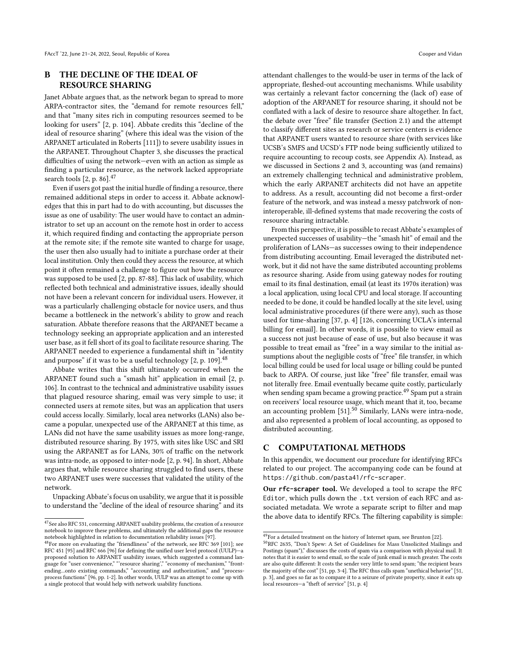# <span id="page-15-1"></span>B THE DECLINE OF THE IDEAL OF RESOURCE SHARING

Janet Abbate argues that, as the network began to spread to more ARPA-contractor sites, the "demand for remote resources fell," and that "many sites rich in computing resources seemed to be looking for users" [\[2,](#page-12-6) p. 104]. Abbate credits this "decline of the ideal of resource sharing" (where this ideal was the vision of the ARPANET articulated in Roberts [\[111\]](#page-13-25)) to severe usability issues in the ARPANET. Throughout Chapter 3, she discusses the practical difficulties of using the network—even with an action as simple as finding a particular resource, as the network lacked appropriate search tools [\[2,](#page-12-6) p. 86].<sup>[47](#page-15-2)</sup>

Even if users got past the initial hurdle of finding a resource, there remained additional steps in order to access it. Abbate acknowledges that this in part had to do with accounting, but discusses the issue as one of usability: The user would have to contact an administrator to set up an account on the remote host in order to access it, which required finding and contacting the appropriate person at the remote site; if the remote site wanted to charge for usage, the user then also usually had to initiate a purchase order at their local institution. Only then could they access the resource, at which point it often remained a challenge to figure out how the resource was supposed to be used [\[2,](#page-12-6) pp. 87-88]. This lack of usability, which reflected both technical and administrative issues, ideally should not have been a relevant concern for individual users. However, it was a particularly challenging obstacle for novice users, and thus became a bottleneck in the network's ability to grow and reach saturation. Abbate therefore reasons that the ARPANET became a technology seeking an appropriate application and an interested user base, as it fell short of its goal to facilitate resource sharing. The ARPANET needed to experience a fundamental shift in "identity and purpose" if it was to be a useful technology  $[2, p. 109]$  $[2, p. 109]$ .<sup>[48](#page-15-3)</sup>

Abbate writes that this shift ultimately occurred when the ARPANET found such a "smash hit" application in email [\[2,](#page-12-6) p. 106]. In contrast to the technical and administrative usability issues that plagued resource sharing, email was very simple to use; it connected users at remote sites, but was an application that users could access locally. Similarly, local area networks (LANs) also became a popular, unexpected use of the ARPANET at this time, as LANs did not have the same usability issues as more long-range, distributed resource sharing. By 1975, with sites like USC and SRI using the ARPANET as for LANs, 30% of traffic on the network was intra-node, as opposed to inter-node [\[2,](#page-12-6) p. 94]. In short, Abbate argues that, while resource sharing struggled to find users, these two ARPANET uses were successes that validated the utility of the network.

Unpacking Abbate's focus on usability, we argue that it is possible to understand the "decline of the ideal of resource sharing" and its attendant challenges to the would-be user in terms of the lack of appropriate, fleshed-out accounting mechanisms. While usability was certainly a relevant factor concerning the (lack of) ease of adoption of the ARPANET for resource sharing, it should not be conflated with a lack of desire to resource share altogether. In fact, the debate over "free" file transfer (Section [2.1\)](#page-4-6) and the attempt to classify different sites as research or service centers is evidence that ARPANET users wanted to resource share (with services like UCSB's SMFS and UCSD's FTP node being sufficiently utilized to require accounting to recoup costs, see Appendix [A\)](#page-14-13). Instead, as we discussed in Sections [2](#page-2-4) and [3,](#page-4-0) accounting was (and remains) an extremely challenging technical and administrative problem, which the early ARPANET architects did not have an appetite to address. As a result, accounting did not become a first-order feature of the network, and was instead a messy patchwork of noninteroperable, ill-defined systems that made recovering the costs of resource sharing intractable.

From this perspective, it is possible to recast Abbate's examples of unexpected successes of usability—the "smash hit" of email and the proliferation of LANs—as successes owing to their independence from distributing accounting. Email leveraged the distributed network, but it did not have the same distributed accounting problems as resource sharing. Aside from using gateway nodes for routing email to its final destination, email (at least its 1970s iteration) was a local application, using local CPU and local storage. If accounting needed to be done, it could be handled locally at the site level, using local administrative procedures (if there were any), such as those used for time-sharing [\[37,](#page-12-20) p. 4] [\[126,](#page-14-19) concerning UCLA's internal billing for email]. In other words, it is possible to view email as a success not just because of ease of use, but also because it was possible to treat email as "free" in a way similar to the initial assumptions about the negligible costs of "free" file transfer, in which local billing could be used for local usage or billing could be punted back to ARPA. Of course, just like "free" file transfer, email was not literally free. Email eventually became quite costly, particularly when sending spam became a growing practice.<sup>[49](#page-15-4)</sup> Spam put a strain on receivers' local resource usage, which meant that it, too, became an accounting problem [\[51\]](#page-12-52).<sup>[50](#page-15-5)</sup> Similarly, LANs were intra-node, and also represented a problem of local accounting, as opposed to distributed accounting.

# <span id="page-15-0"></span>C COMPUTATIONAL METHODS

In this appendix, we document our procedure for identifying RFCs related to our project. The accompanying code can be found at <https://github.com/pasta41/rfc-scraper>.

Our **[rfc-scraper](https://github.com/pasta41/rfc-scraper)** tool. We developed a tool to scrape the [RFC](https://www.rfc-editor.org/rfc/) [Editor](https://www.rfc-editor.org/rfc/), which pulls down the .txt version of each RFC and associated [metadata.](https://www.rfc-editor.org/rfc-index.html) We wrote a separate script to filter and map the above data to identify RFCs. The filtering capability is simple:

<span id="page-15-2"></span> $\rm ^{47}$  See also RFC 531, concerning ARPANET usability problems, the creation of a resource notebook to improve these problems, and ultimately the additional gaps the resource notebook highlighted in relation to documentation reliability issues [\[97\]](#page-13-32).

<span id="page-15-3"></span><sup>48</sup>For more on evaluating the "friendliness" of the network, see RFC 369 [\[101\]](#page-13-31); see RFC 451 [\[95\]](#page-13-55) and RFC 666 [\[96\]](#page-13-56) for defining the unified user level protocol (UULP)—a proposed solution to ARPANET usability issues, which suggested a command language for "user convenience," "'resource sharing'," "economy of mechanism," "frontending...onto existing commands," "accounting and authorization," and "processprocess functions" [\[96,](#page-13-56) pp. 1-2]. In other words, UULP was an attempt to come up with a single protocol that would help with network usability functions.

<span id="page-15-4"></span> $\overline{{}^{49}\rm{For}}$  a detailed treatment on the history of Internet spam, see Brunton [\[22\]](#page-12-53).

<span id="page-15-5"></span><sup>50</sup>RFC 2635, "Don't Spew: A Set of Guidelines for Mass Unsolicited Mailings and Postings (spam\*)," discusses the costs of spam via a comparison with physical mail. It notes that it is easier to send email, so the scale of junk email is much greater. The costs are also quite different: It costs the sender very little to send spam; "the recipient bears the majority of the cost" [\[51,](#page-12-52) pp. 3-4]. The RFC thus calls spam "unethical behavior" [\[51,](#page-12-52) p. 3], and goes so far as to compare it to a seizure of private property, since it eats up local resources—a "theft of service" [\[51,](#page-12-52) p. 4]